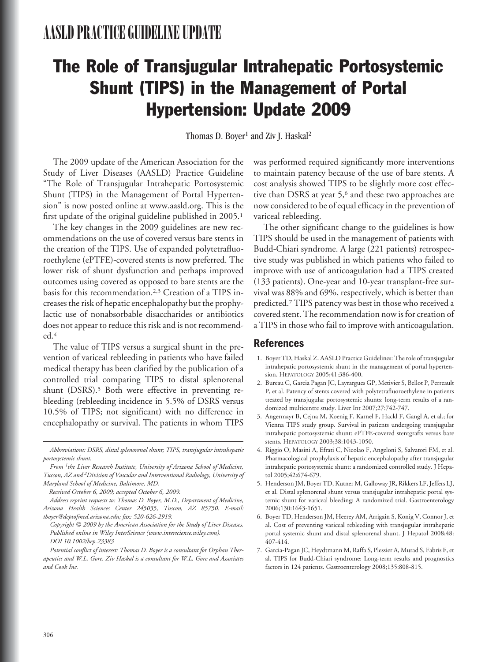# The Role of Transjugular Intrahepatic Portosystemic Shunt (TIPS) in the Management of Portal Hypertension: Update 2009

Thomas D. Boyer<sup>1</sup> and Ziv J. Haskal<sup>2</sup>

The 2009 update of the American Association for the Study of Liver Diseases (AASLD) Practice Guideline "The Role of Transjugular Intrahepatic Portosystemic Shunt (TIPS) in the Management of Portal Hypertension" is now posted online at www.aasld.org. This is the first update of the original guideline published in 2005.<sup>1</sup>

The key changes in the 2009 guidelines are new recommendations on the use of covered versus bare stents in the creation of the TIPS. Use of expanded polytetrafluoroethylene (ePTFE)-covered stents is now preferred. The lower risk of shunt dysfunction and perhaps improved outcomes using covered as opposed to bare stents are the basis for this recommendation.2,3 Creation of a TIPS increases the risk of hepatic encephalopathy but the prophylactic use of nonabsorbable disaccharides or antibiotics does not appear to reduce this risk and is not recommended.4

The value of TIPS versus a surgical shunt in the prevention of variceal rebleeding in patients who have failed medical therapy has been clarified by the publication of a controlled trial comparing TIPS to distal splenorenal shunt (DSRS).<sup>5</sup> Both were effective in preventing rebleeding (rebleeding incidence in 5.5% of DSRS versus 10.5% of TIPS; not significant) with no difference in encephalopathy or survival. The patients in whom TIPS

*Received October 6, 2009; accepted October 6, 2009.*

*Address reprint requests to: Thomas D. Boyer, M.D., Department of Medicine, Arizona Health Sciences Center 245035, Tuscon, AZ 85750. E-mail: tboyer@deptofmed.arizona.edu; fax: 520-626-2919.*

*Copyright © 2009 by the American Association for the Study of Liver Diseases. Published online in Wiley InterScience (www.interscience.wiley.com). DOI 10.1002/hep.23383*

*Potential conflict of interest: Thomas D. Boyer is a consultant for Orphan Therapeutics and W.L. Gore. Ziv Haskal is a consultant for W.L. Gore and Associates and Cook Inc.*

was performed required significantly more interventions to maintain patency because of the use of bare stents. A cost analysis showed TIPS to be slightly more cost effective than DSRS at year 5,<sup>6</sup> and these two approaches are now considered to be of equal efficacy in the prevention of variceal rebleeding.

The other significant change to the guidelines is how TIPS should be used in the management of patients with Budd-Chiari syndrome. A large (221 patients) retrospective study was published in which patients who failed to improve with use of anticoagulation had a TIPS created (133 patients). One-year and 10-year transplant-free survival was 88% and 69%, respectively, which is better than predicted.7 TIPS patency was best in those who received a covered stent. The recommendation now is for creation of a TIPS in those who fail to improve with anticoagulation.

# **References**

- 1. Boyer TD, Haskal Z. AASLD Practice Guidelines: The role of transjugular intrahepatic portosystemic shunt in the management of portal hypertension. HEPATOLOGY 2005;41:386-400.
- 2. Bureau C, Garcia Pagan JC, Layrargues GP, Metivier S, Bellot P, Perreault P, et al. Patency of stents covered with polytetrafluoroethylene in patients treated by transjugular portosystemic shunts: long-term results of a randomized multicentre study. Liver Int 2007;27:742-747.
- 3. Angermayr B, Cejna M, Koenig F, Karnel F, Hackl F, Gangl A, et al.; for Vienna TIPS study group. Survival in patients undergoing transjugular intrahepatic portosystemic shunt: ePTFE-covered stentgrafts versus bare stents. HEPATOLOGY 2003;38:1043-1050.
- 4. Riggio O, Masini A, Efrati C, Nicolao F, Angeloni S, Salvatori FM, et al. Pharmacological prophylaxis of hepatic encephalopathy after transjugular intrahepatic portosystemic shunt: a randomized controlled study. J Hepatol 2005;42:674-679.
- 5. Henderson JM, Boyer TD, Kutner M, Galloway JR, Rikkers LF, Jeffers LJ, et al. Distal splenorenal shunt versus transjugular intrahepatic portal systemic shunt for variceal bleeding: A randomized trial. Gastroenterology 2006;130:1643-1651.
- 6. Boyer TD, Henderson JM, Heerey AM, Arrigain S, Konig V, Connor J, et al. Cost of preventing variceal rebleeding with transjugular intrahepatic portal systemic shunt and distal splenorenal shunt. J Hepatol 2008;48: 407-414.
- 7. Garcia-Pagan JC, Heydtmann M, Raffa S, Plessier A, Murad S, Fabris F, et al. TIPS for Budd-Chiari syndrome: Long-term results and prognostics factors in 124 patients. Gastroenterology 2008;135:808-815.

*Abbreviations: DSRS, distal splenorenal shunt; TIPS, transjugular intrahepatic portosystemic shunt.*

*From 1the Liver Research Institute, University of Arizona School of Medicine, Tucson, AZ and 2Division of Vascular and Interventional Radiology, University of Maryland School of Medicine, Baltimore, MD.*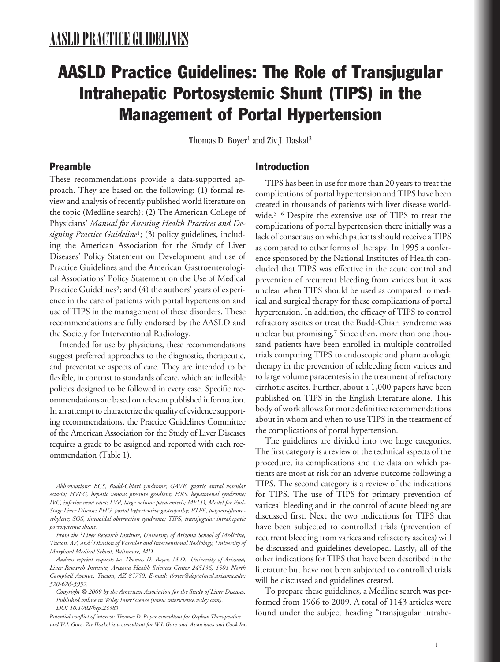# AASLD Practice Guidelines: The Role of Transjugular Intrahepatic Portosystemic Shunt (TIPS) in the Management of Portal Hypertension

Thomas D. Boyer<sup>1</sup> and Ziv J. Haskal<sup>2</sup>

# **Preamble**

These recommendations provide a data-supported approach. They are based on the following: (1) formal review and analysis of recently published world literature on the topic (Medline search); (2) The American College of Physicians' *Manual for Assessing Health Practices and Designing Practice Guideline*1; (3) policy guidelines, including the American Association for the Study of Liver Diseases' Policy Statement on Development and use of Practice Guidelines and the American Gastroenterological Associations' Policy Statement on the Use of Medical Practice Guidelines<sup>2</sup>; and (4) the authors' years of experience in the care of patients with portal hypertension and use of TIPS in the management of these disorders. These recommendations are fully endorsed by the AASLD and the Society for Interventional Radiology.

Intended for use by physicians, these recommendations suggest preferred approaches to the diagnostic, therapeutic, and preventative aspects of care. They are intended to be flexible, in contrast to standards of care, which are inflexible policies designed to be followed in every case. Specific recommendations are based on relevant published information. In an attempt to characterize the quality of evidence supporting recommendations, the Practice Guidelines Committee of the American Association for the Study of Liver Diseases requires a grade to be assigned and reported with each recommendation (Table 1).

# **Introduction**

TIPS has been in use for more than 20 years to treat the complications of portal hypertension and TIPS have been created in thousands of patients with liver disease worldwide.3–6 Despite the extensive use of TIPS to treat the complications of portal hypertension there initially was a lack of consensus on which patients should receive a TIPS as compared to other forms of therapy. In 1995 a conference sponsored by the National Institutes of Health concluded that TIPS was effective in the acute control and prevention of recurrent bleeding from varices but it was unclear when TIPS should be used as compared to medical and surgical therapy for these complications of portal hypertension. In addition, the efficacy of TIPS to control refractory ascites or treat the Budd-Chiari syndrome was unclear but promising.7 Since then, more than one thousand patients have been enrolled in multiple controlled trials comparing TIPS to endoscopic and pharmacologic therapy in the prevention of rebleeding from varices and to large volume paracentesis in the treatment of refractory cirrhotic ascites. Further, about a 1,000 papers have been published on TIPS in the English literature alone. This body of work allows for more definitive recommendations about in whom and when to use TIPS in the treatment of the complications of portal hypertension.

The guidelines are divided into two large categories. The first category is a review of the technical aspects of the procedure, its complications and the data on which patients are most at risk for an adverse outcome following a TIPS. The second category is a review of the indications for TIPS. The use of TIPS for primary prevention of variceal bleeding and in the control of acute bleeding are discussed first. Next the two indications for TIPS that have been subjected to controlled trials (prevention of recurrent bleeding from varices and refractory ascites) will be discussed and guidelines developed. Lastly, all of the other indications for TIPS that have been described in the literature but have not been subjected to controlled trials will be discussed and guidelines created.

To prepare these guidelines, a Medline search was performed from 1966 to 2009. A total of 1143 articles were found under the subject heading "transjugular intrahe-

*Abbreviations: BCS, Budd-Chiari syndrome; GAVE, gastric antral vascular ectasia; HVPG, hepatic venous pressure gradient; HRS, hepatorenal syndrome; IVC, inferior vena cava; LVP, large volume paracentesis; MELD, Model for End-Stage Liver Disease; PHG, portal hypertensive gastropathy; PTFE, polytetrafluoroethylene; SOS, sinusoidal obstruction syndrome; TIPS, transjugular intrahepatic portosystemic shunt.*

*From the 1Liver Research Institute, University of Arizona School of Medicine, Tucson, AZ, and 2Division of Vascular and Interventional Radiology, University of Maryland Medical School, Baltimore, MD.*

*Address reprint requests to: Thomas D. Boyer, M.D., University of Arizona, Liver Research Institute, Arizona Health Sciences Center 245136, 1501 North Campbell Avenue, Tucson, AZ 85750. E-mail: tboyer@deptofmed.arizona.edu; 520-626-5952.*

*Copyright © 2009 by the American Association for the Study of Liver Diseases. Published online in Wiley InterScience (www.interscience.wiley.com). DOI 10.1002/hep.23383*

*Potential conflict of interest: Thomas D. Boyer consultant for Orphan Therapeutics and W.I. Gore. Ziv Haskel is a consultant for W.I. Gore and Associates and Cook Inc.*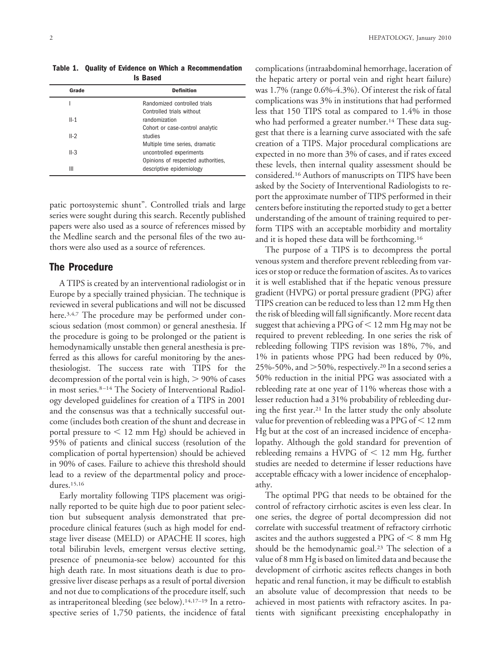**Table 1. Quality of Evidence on Which a Recommendation Is Based**

| Grade  | <b>Definition</b>                                              |  |  |  |  |
|--------|----------------------------------------------------------------|--|--|--|--|
|        | Randomized controlled trials                                   |  |  |  |  |
| $II-1$ | Controlled trials without<br>randomization                     |  |  |  |  |
|        | Cohort or case-control analytic                                |  |  |  |  |
| $II-2$ | studies<br>Multiple time series, dramatic                      |  |  |  |  |
| $II-3$ | uncontrolled experiments                                       |  |  |  |  |
| Ш      | Opinions of respected authorities,<br>descriptive epidemiology |  |  |  |  |

patic portosystemic shunt". Controlled trials and large series were sought during this search. Recently published papers were also used as a source of references missed by the Medline search and the personal files of the two authors were also used as a source of references.

# **The Procedure**

A TIPS is created by an interventional radiologist or in Europe by a specially trained physician. The technique is reviewed in several publications and will not be discussed here.<sup>3,4,7</sup> The procedure may be performed under conscious sedation (most common) or general anesthesia. If the procedure is going to be prolonged or the patient is hemodynamically unstable then general anesthesia is preferred as this allows for careful monitoring by the anesthesiologist. The success rate with TIPS for the decompression of the portal vein is high,  $> 90\%$  of cases in most series.8–14 The Society of Interventional Radiology developed guidelines for creation of a TIPS in 2001 and the consensus was that a technically successful outcome (includes both creation of the shunt and decrease in portal pressure to  $< 12$  mm Hg) should be achieved in 95% of patients and clinical success (resolution of the complication of portal hypertension) should be achieved in 90% of cases. Failure to achieve this threshold should lead to a review of the departmental policy and procedures.15,16

Early mortality following TIPS placement was originally reported to be quite high due to poor patient selection but subsequent analysis demonstrated that preprocedure clinical features (such as high model for endstage liver disease (MELD) or APACHE II scores, high total bilirubin levels, emergent versus elective setting, presence of pneumonia-see below) accounted for this high death rate. In most situations death is due to progressive liver disease perhaps as a result of portal diversion and not due to complications of the procedure itself, such as intraperitoneal bleeding (see below).14,17–19 In a retrospective series of 1,750 patients, the incidence of fatal complications (intraabdominal hemorrhage, laceration of the hepatic artery or portal vein and right heart failure) was 1.7% (range 0.6%-4.3%). Of interest the risk of fatal complications was 3% in institutions that had performed less that 150 TIPS total as compared to 1.4% in those who had performed a greater number.<sup>14</sup> These data suggest that there is a learning curve associated with the safe creation of a TIPS. Major procedural complications are expected in no more than 3% of cases, and if rates exceed these levels, then internal quality assessment should be considered.16 Authors of manuscripts on TIPS have been asked by the Society of Interventional Radiologists to report the approximate number of TIPS performed in their centers before instituting the reported study to get a better understanding of the amount of training required to perform TIPS with an acceptable morbidity and mortality and it is hoped these data will be forthcoming.16

The purpose of a TIPS is to decompress the portal venous system and therefore prevent rebleeding from varices or stop or reduce the formation of ascites. As to varices it is well established that if the hepatic venous pressure gradient (HVPG) or portal pressure gradient (PPG) after TIPS creation can be reduced to less than 12 mm Hg then the risk of bleeding will fall significantly. More recent data suggest that achieving a PPG of  $\leq$  12 mm Hg may not be required to prevent rebleeding. In one series the risk of rebleeding following TIPS revision was 18%, 7%, and 1% in patients whose PPG had been reduced by 0%, 25%-50%, and  $>$ 50%, respectively.<sup>20</sup> In a second series a 50% reduction in the initial PPG was associated with a rebleeding rate at one year of 11% whereas those with a lesser reduction had a 31% probability of rebleeding during the first year.21 In the latter study the only absolute value for prevention of rebleeding was a PPG of  $<$  12 mm Hg but at the cost of an increased incidence of encephalopathy. Although the gold standard for prevention of rebleeding remains a HVPG of  $\leq$  12 mm Hg, further studies are needed to determine if lesser reductions have acceptable efficacy with a lower incidence of encephalopathy.

The optimal PPG that needs to be obtained for the control of refractory cirrhotic ascites is even less clear. In one series, the degree of portal decompression did not correlate with successful treatment of refractory cirrhotic ascites and the authors suggested a PPG of  $\leq 8$  mm Hg should be the hemodynamic goal.23 The selection of a value of 8 mm Hg is based on limited data and because the development of cirrhotic ascites reflects changes in both hepatic and renal function, it may be difficult to establish an absolute value of decompression that needs to be achieved in most patients with refractory ascites. In patients with significant preexisting encephalopathy in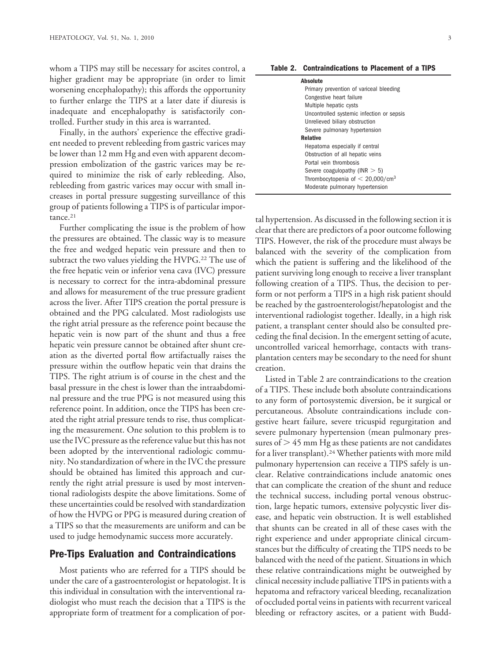whom a TIPS may still be necessary for ascites control, a higher gradient may be appropriate (in order to limit worsening encephalopathy); this affords the opportunity to further enlarge the TIPS at a later date if diuresis is inadequate and encephalopathy is satisfactorily controlled. Further study in this area is warranted.

Finally, in the authors' experience the effective gradient needed to prevent rebleeding from gastric varices may be lower than 12 mm Hg and even with apparent decompression embolization of the gastric varices may be required to minimize the risk of early rebleeding. Also, rebleeding from gastric varices may occur with small increases in portal pressure suggesting surveillance of this group of patients following a TIPS is of particular importance.<sup>21</sup>

Further complicating the issue is the problem of how the pressures are obtained. The classic way is to measure the free and wedged hepatic vein pressure and then to subtract the two values yielding the HVPG.<sup>22</sup> The use of the free hepatic vein or inferior vena cava (IVC) pressure is necessary to correct for the intra-abdominal pressure and allows for measurement of the true pressure gradient across the liver. After TIPS creation the portal pressure is obtained and the PPG calculated. Most radiologists use the right atrial pressure as the reference point because the hepatic vein is now part of the shunt and thus a free hepatic vein pressure cannot be obtained after shunt creation as the diverted portal flow artifactually raises the pressure within the outflow hepatic vein that drains the TIPS. The right atrium is of course in the chest and the basal pressure in the chest is lower than the intraabdominal pressure and the true PPG is not measured using this reference point. In addition, once the TIPS has been created the right atrial pressure tends to rise, thus complicating the measurement. One solution to this problem is to use the IVC pressure as the reference value but this has not been adopted by the interventional radiologic community. No standardization of where in the IVC the pressure should be obtained has limited this approach and currently the right atrial pressure is used by most interventional radiologists despite the above limitations. Some of these uncertainties could be resolved with standardization of how the HVPG or PPG is measured during creation of a TIPS so that the measurements are uniform and can be used to judge hemodynamic success more accurately.

#### **Pre-Tips Evaluation and Contraindications**

Most patients who are referred for a TIPS should be under the care of a gastroenterologist or hepatologist. It is this individual in consultation with the interventional radiologist who must reach the decision that a TIPS is the appropriate form of treatment for a complication of por-

| Absolute                                  |  |
|-------------------------------------------|--|
| Primary prevention of variceal bleeding   |  |
| Congestive heart failure                  |  |
| Multiple hepatic cysts                    |  |
| Uncontrolled systemic infection or sepsis |  |
| Unrelieved biliary obstruction            |  |
| Severe pulmonary hypertension             |  |
| <b>Relative</b>                           |  |
| Hepatoma especially if central            |  |
| Obstruction of all hepatic veins          |  |
| Portal vein thrombosis                    |  |
| Severe coagulopathy ( $INR > 5$ )         |  |
| Thrombocytopenia of $< 20,000/cm3$        |  |
| Moderate pulmonary hypertension           |  |
|                                           |  |

tal hypertension. As discussed in the following section it is clear that there are predictors of a poor outcome following TIPS. However, the risk of the procedure must always be balanced with the severity of the complication from which the patient is suffering and the likelihood of the patient surviving long enough to receive a liver transplant following creation of a TIPS. Thus, the decision to perform or not perform a TIPS in a high risk patient should be reached by the gastroenterologist/hepatologist and the interventional radiologist together. Ideally, in a high risk patient, a transplant center should also be consulted preceding the final decision. In the emergent setting of acute, uncontrolled variceal hemorrhage, contacts with transplantation centers may be secondary to the need for shunt creation.

Listed in Table 2 are contraindications to the creation of a TIPS. These include both absolute contraindications to any form of portosystemic diversion, be it surgical or percutaneous. Absolute contraindications include congestive heart failure, severe tricuspid regurgitation and severe pulmonary hypertension (mean pulmonary pressures of  $> 45$  mm Hg as these patients are not candidates for a liver transplant).<sup>24</sup> Whether patients with more mild pulmonary hypertension can receive a TIPS safely is unclear. Relative contraindications include anatomic ones that can complicate the creation of the shunt and reduce the technical success, including portal venous obstruction, large hepatic tumors, extensive polycystic liver disease, and hepatic vein obstruction. It is well established that shunts can be created in all of these cases with the right experience and under appropriate clinical circumstances but the difficulty of creating the TIPS needs to be balanced with the need of the patient. Situations in which these relative contraindications might be outweighed by clinical necessity include palliative TIPS in patients with a hepatoma and refractory variceal bleeding, recanalization of occluded portal veins in patients with recurrent variceal bleeding or refractory ascites, or a patient with Budd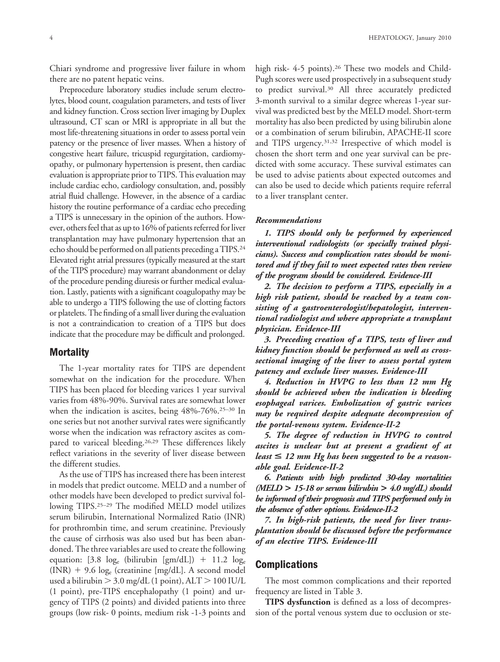Chiari syndrome and progressive liver failure in whom there are no patent hepatic veins.

Preprocedure laboratory studies include serum electrolytes, blood count, coagulation parameters, and tests of liver and kidney function. Cross section liver imaging by Duplex ultrasound, CT scan or MRI is appropriate in all but the most life-threatening situations in order to assess portal vein patency or the presence of liver masses. When a history of congestive heart failure, tricuspid regurgitation, cardiomyopathy, or pulmonary hypertension is present, then cardiac evaluation is appropriate prior to TIPS. This evaluation may include cardiac echo, cardiology consultation, and, possibly atrial fluid challenge. However, in the absence of a cardiac history the routine performance of a cardiac echo preceding a TIPS is unnecessary in the opinion of the authors. However, others feel that as up to 16% of patients referred for liver transplantation may have pulmonary hypertension that an echo should be performed on all patients preceding a TIPS.24 Elevated right atrial pressures (typically measured at the start of the TIPS procedure) may warrant abandonment or delay of the procedure pending diuresis or further medical evaluation. Lastly, patients with a significant coagulopathy may be able to undergo a TIPS following the use of clotting factors or platelets. The finding of a small liver during the evaluation is not a contraindication to creation of a TIPS but does indicate that the procedure may be difficult and prolonged.

# **Mortality**

The 1-year mortality rates for TIPS are dependent somewhat on the indication for the procedure. When TIPS has been placed for bleeding varices 1 year survival varies from 48%-90%. Survival rates are somewhat lower when the indication is ascites, being 48%-76%.25–30 In one series but not another survival rates were significantly worse when the indication was refractory ascites as compared to variceal bleeding.26,29 These differences likely reflect variations in the severity of liver disease between the different studies.

As the use of TIPS has increased there has been interest in models that predict outcome. MELD and a number of other models have been developed to predict survival following TIPS.25–29 The modified MELD model utilizes serum bilirubin, International Normalized Ratio (INR) for prothrombin time, and serum creatinine. Previously the cause of cirrhosis was also used but has been abandoned. The three variables are used to create the following equation: [3.8  $log_e$  (bilirubin [gm/dL]) + 11.2  $log_e$  $(INR) + 9.6 \log_e$  (creatinine [mg/dL]. A second model used a bilirubin  $>$  3.0 mg/dL (1 point), ALT  $>$  100 IU/L (1 point), pre-TIPS encephalopathy (1 point) and urgency of TIPS (2 points) and divided patients into three groups (low risk- 0 points, medium risk -1-3 points and

high risk- 4-5 points).<sup>26</sup> These two models and Child-Pugh scores were used prospectively in a subsequent study to predict survival.30 All three accurately predicted 3-month survival to a similar degree whereas 1-year survival was predicted best by the MELD model. Short-term mortality has also been predicted by using bilirubin alone or a combination of serum bilirubin, APACHE-II score and TIPS urgency.31,32 Irrespective of which model is chosen the short term and one year survival can be predicted with some accuracy. These survival estimates can be used to advise patients about expected outcomes and can also be used to decide which patients require referral to a liver transplant center.

#### *Recommendations*

*1. TIPS should only be performed by experienced interventional radiologists (or specially trained physicians). Success and complication rates should be monitored and if they fail to meet expected rates then review of the program should be considered. Evidence-III*

*2. The decision to perform a TIPS, especially in a high risk patient, should be reached by a team consisting of a gastroenterologist/hepatologist, interventional radiologist and where appropriate a transplant physician. Evidence-III*

*3. Preceding creation of a TIPS, tests of liver and kidney function should be performed as well as crosssectional imaging of the liver to assess portal system patency and exclude liver masses. Evidence-III*

*4. Reduction in HVPG to less than 12 mm Hg should be achieved when the indication is bleeding esophageal varices. Embolization of gastric varices may be required despite adequate decompression of the portal-venous system. Evidence-II-2*

*5. The degree of reduction in HVPG to control ascites is unclear but at present a gradient of at least* < *12 mm Hg has been suggested to be a reasonable goal. Evidence-II-2*

*6. Patients with high predicted 30-day mortalities (MELD* **>** *15-18 or serum bilirubin* **>** *4.0 mg/dL) should be informed of their prognosis and TIPS performed only in the absence of other options. Evidence-II-2*

*7. In high-risk patients, the need for liver transplantation should be discussed before the performance of an elective TIPS. Evidence-III*

#### **Complications**

The most common complications and their reported frequency are listed in Table 3.

**TIPS dysfunction** is defined as a loss of decompression of the portal venous system due to occlusion or ste-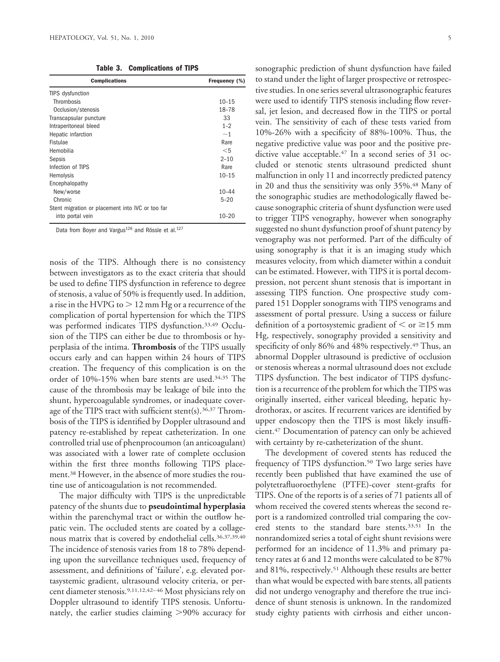**Table 3. Complications of TIPS**

| <b>Complications</b>                             | Frequency (%) |
|--------------------------------------------------|---------------|
| <b>TIPS</b> dysfunction                          |               |
| Thrombosis                                       | $10 - 15$     |
| Occlusion/stenosis                               | 18-78         |
| Transcapsular puncture                           | 33            |
| Intraperitoneal bleed                            | $1 - 2$       |
| Hepatic infarction                               | ~1            |
| Fistulae                                         | Rare          |
| Hemobilia                                        | $<$ 5         |
| Sepsis                                           | $2 - 10$      |
| Infection of TIPS                                | Rare          |
| Hemolysis                                        | $10 - 15$     |
| Encephalopathy                                   |               |
| New/worse                                        | $10 - 44$     |
| Chronic                                          | $5 - 20$      |
| Stent migration or placement into IVC or too far |               |
| into portal vein                                 | $10 - 20$     |

Data from Boyer and Vargus<sup>126</sup> and Rössle et al.<sup>127</sup>

nosis of the TIPS. Although there is no consistency between investigators as to the exact criteria that should be used to define TIPS dysfunction in reference to degree of stenosis, a value of 50% is frequently used. In addition, a rise in the HVPG to  $> 12$  mm Hg or a recurrence of the complication of portal hypertension for which the TIPS was performed indicates TIPS dysfunction.<sup>33,49</sup> Occlusion of the TIPS can either be due to thrombosis or hyperplasia of the intima. **Thrombosis** of the TIPS usually occurs early and can happen within 24 hours of TIPS creation. The frequency of this complication is on the order of 10%-15% when bare stents are used.34,35 The cause of the thrombosis may be leakage of bile into the shunt, hypercoagulable syndromes, or inadequate coverage of the TIPS tract with sufficient stent(s).<sup>36,37</sup> Thrombosis of the TIPS is identified by Doppler ultrasound and patency re-established by repeat catheterization. In one controlled trial use of phenprocoumon (an anticoagulant) was associated with a lower rate of complete occlusion within the first three months following TIPS placement.38 However, in the absence of more studies the routine use of anticoagulation is not recommended.

The major difficulty with TIPS is the unpredictable patency of the shunts due to **pseudointimal hyperplasia** within the parenchymal tract or within the outflow hepatic vein. The occluded stents are coated by a collagenous matrix that is covered by endothelial cells.<sup>36,37,39,40</sup> The incidence of stenosis varies from 18 to 78% depending upon the surveillance techniques used, frequency of assessment, and definitions of 'failure', e.g. elevated portasystemic gradient, ultrasound velocity criteria, or percent diameter stenosis.9,11,12,42–46 Most physicians rely on Doppler ultrasound to identify TIPS stenosis. Unfortunately, the earlier studies claiming  $>$ 90% accuracy for

sonographic prediction of shunt dysfunction have failed to stand under the light of larger prospective or retrospective studies. In one series several ultrasonographic features were used to identify TIPS stenosis including flow reversal, jet lesion, and decreased flow in the TIPS or portal vein. The sensitivity of each of these tests varied from 10%-26% with a specificity of 88%-100%. Thus, the negative predictive value was poor and the positive predictive value acceptable.<sup>47</sup> In a second series of 31 occluded or stenotic stents ultrasound predicted shunt malfunction in only 11 and incorrectly predicted patency in 20 and thus the sensitivity was only 35%.<sup>48</sup> Many of the sonographic studies are methodologically flawed because sonographic criteria of shunt dysfunction were used to trigger TIPS venography, however when sonography

suggested no shunt dysfunction proof of shunt patency by venography was not performed. Part of the difficulty of using sonography is that it is an imaging study which measures velocity, from which diameter within a conduit can be estimated. However, with TIPS it is portal decompression, not percent shunt stenosis that is important in assessing TIPS function. One prospective study compared 151 Doppler sonograms with TIPS venograms and assessment of portal pressure. Using a success or failure definition of a portosystemic gradient of  $\leq$  or  $\geq$ 15 mm Hg, respectively, sonography provided a sensitivity and specificity of only 86% and 48% respectively.<sup>49</sup> Thus, an abnormal Doppler ultrasound is predictive of occlusion or stenosis whereas a normal ultrasound does not exclude TIPS dysfunction. The best indicator of TIPS dysfunction is a recurrence of the problem for which the TIPS was originally inserted, either variceal bleeding, hepatic hydrothorax, or ascites. If recurrent varices are identified by upper endoscopy then the TIPS is most likely insufficient.47 Documentation of patency can only be achieved with certainty by re-catheterization of the shunt.

The development of covered stents has reduced the frequency of TIPS dysfunction.<sup>50</sup> Two large series have recently been published that have examined the use of polytetrafluoroethylene (PTFE)-cover stent-grafts for TIPS. One of the reports is of a series of 71 patients all of whom received the covered stents whereas the second report is a randomized controlled trial comparing the covered stents to the standard bare stents.33,51 In the nonrandomized series a total of eight shunt revisions were performed for an incidence of 11.3% and primary patency rates at 6 and 12 months were calculated to be 87% and 81%, respectively.<sup>51</sup> Although these results are better than what would be expected with bare stents, all patients did not undergo venography and therefore the true incidence of shunt stenosis is unknown. In the randomized study eighty patients with cirrhosis and either uncon-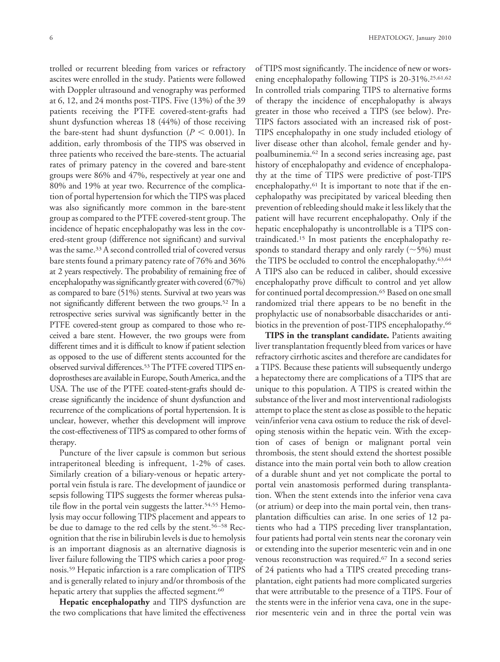trolled or recurrent bleeding from varices or refractory ascites were enrolled in the study. Patients were followed with Doppler ultrasound and venography was performed at 6, 12, and 24 months post-TIPS. Five (13%) of the 39 patients receiving the PTFE covered-stent-grafts had shunt dysfunction whereas 18 (44%) of those receiving the bare-stent had shunt dysfunction ( $P < 0.001$ ). In addition, early thrombosis of the TIPS was observed in three patients who received the bare-stents. The actuarial rates of primary patency in the covered and bare-stent groups were 86% and 47%, respectively at year one and 80% and 19% at year two. Recurrence of the complication of portal hypertension for which the TIPS was placed was also significantly more common in the bare-stent group as compared to the PTFE covered-stent group. The incidence of hepatic encephalopathy was less in the covered-stent group (difference not significant) and survival was the same.33 A second controlled trial of covered versus bare stents found a primary patency rate of 76% and 36% at 2 years respectively. The probability of remaining free of encephalopathy was significantly greater with covered (67%) as compared to bare (51%) stents. Survival at two years was not significantly different between the two groups.52 In a retrospective series survival was significantly better in the PTFE covered-stent group as compared to those who received a bare stent. However, the two groups were from different times and it is difficult to know if patient selection as opposed to the use of different stents accounted for the observed survival differences.53The PTFE covered TIPS endoprostheses are available in Europe, South America, and the USA. The use of the PTFE coated-stent-grafts should decrease significantly the incidence of shunt dysfunction and recurrence of the complications of portal hypertension. It is unclear, however, whether this development will improve the cost-effectiveness of TIPS as compared to other forms of therapy.

Puncture of the liver capsule is common but serious intraperitoneal bleeding is infrequent, 1-2% of cases. Similarly creation of a biliary-venous or hepatic arteryportal vein fistula is rare. The development of jaundice or sepsis following TIPS suggests the former whereas pulsatile flow in the portal vein suggests the latter.<sup>54,55</sup> Hemolysis may occur following TIPS placement and appears to be due to damage to the red cells by the stent.<sup>56–58</sup> Recognition that the rise in bilirubin levels is due to hemolysis is an important diagnosis as an alternative diagnosis is liver failure following the TIPS which caries a poor prognosis.59 Hepatic infarction is a rare complication of TIPS and is generally related to injury and/or thrombosis of the hepatic artery that supplies the affected segment.<sup>60</sup>

**Hepatic encephalopathy** and TIPS dysfunction are the two complications that have limited the effectiveness of TIPS most significantly. The incidence of new or worsening encephalopathy following TIPS is 20-31%.<sup>25,61,62</sup> In controlled trials comparing TIPS to alternative forms of therapy the incidence of encephalopathy is always greater in those who received a TIPS (see below). Pre-TIPS factors associated with an increased risk of post-TIPS encephalopathy in one study included etiology of liver disease other than alcohol, female gender and hypoalbuminemia.62 In a second series increasing age, past history of encephalopathy and evidence of encephalopathy at the time of TIPS were predictive of post-TIPS encephalopathy.61 It is important to note that if the encephalopathy was precipitated by variceal bleeding then prevention of rebleeding should make it less likely that the patient will have recurrent encephalopathy. Only if the hepatic encephalopathy is uncontrollable is a TIPS contraindicated.15 In most patients the encephalopathy responds to standard therapy and only rarely  $(\sim 5\%)$  must the TIPS be occluded to control the encephalopathy.<sup>63,64</sup> A TIPS also can be reduced in caliber, should excessive encephalopathy prove difficult to control and yet allow for continued portal decompression.<sup>65</sup> Based on one small randomized trial there appears to be no benefit in the prophylactic use of nonabsorbable disaccharides or antibiotics in the prevention of post-TIPS encephalopathy.<sup>66</sup>

**TIPS in the transplant candidate.** Patients awaiting liver transplantation frequently bleed from varices or have refractory cirrhotic ascites and therefore are candidates for a TIPS. Because these patients will subsequently undergo a hepatectomy there are complications of a TIPS that are unique to this population. A TIPS is created within the substance of the liver and most interventional radiologists attempt to place the stent as close as possible to the hepatic vein/inferior vena cava ostium to reduce the risk of developing stenosis within the hepatic vein. With the exception of cases of benign or malignant portal vein thrombosis, the stent should extend the shortest possible distance into the main portal vein both to allow creation of a durable shunt and yet not complicate the portal to portal vein anastomosis performed during transplantation. When the stent extends into the inferior vena cava (or atrium) or deep into the main portal vein, then transplantation difficulties can arise. In one series of 12 patients who had a TIPS preceding liver transplantation, four patients had portal vein stents near the coronary vein or extending into the superior mesenteric vein and in one venous reconstruction was required.67 In a second series of 24 patients who had a TIPS created preceding transplantation, eight patients had more complicated surgeries that were attributable to the presence of a TIPS. Four of the stents were in the inferior vena cava, one in the superior mesenteric vein and in three the portal vein was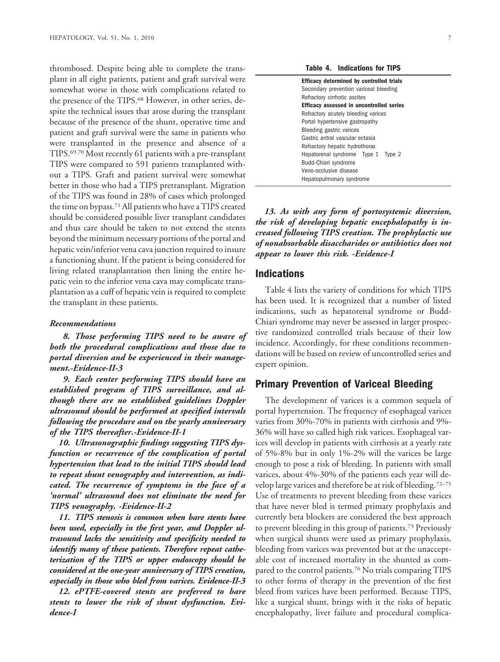thrombosed. Despite being able to complete the transplant in all eight patients, patient and graft survival were somewhat worse in those with complications related to the presence of the TIPS.<sup>68</sup> However, in other series, despite the technical issues that arose during the transplant because of the presence of the shunt, operative time and patient and graft survival were the same in patients who were transplanted in the presence and absence of a TIPS.69,70 Most recently 61 patients with a pre-transplant TIPS were compared to 591 patients transplanted without a TIPS. Graft and patient survival were somewhat better in those who had a TIPS pretransplant. Migration of the TIPS was found in 28% of cases which prolonged the time on bypass.71 All patients who have a TIPS created should be considered possible liver transplant candidates and thus care should be taken to not extend the stents beyond the minimum necessary portions of the portal and hepatic vein/inferior vena cava junction required to insure a functioning shunt. If the patient is being considered for living related transplantation then lining the entire hepatic vein to the inferior vena cava may complicate transplantation as a cuff of hepatic vein is required to complete the transplant in these patients.

#### *Recommendations*

*8. Those performing TIPS need to be aware of both the procedural complications and those due to portal diversion and be experienced in their management.-Evidence-II-3*

*9. Each center performing TIPS should have an established program of TIPS surveillance, and although there are no established guidelines Doppler ultrasound should be performed at specified intervals following the procedure and on the yearly anniversary of the TIPS thereafter.-Evidence-II-1*

*10. Ultrasonographic findings suggesting TIPS dysfunction or recurrence of the complication of portal hypertension that lead to the initial TIPS should lead to repeat shunt venography and intervention, as indicated. The recurrence of symptoms in the face of a 'normal' ultrasound does not eliminate the need for TIPS venography. -Evidence-II-2*

*11. TIPS stenosis is common when bare stents have been used, especially in the first year, and Doppler ultrasound lacks the sensitivity and specificity needed to identify many of these patients. Therefore repeat catheterization of the TIPS or upper endoscopy should be considered at the one-year anniversary of TIPS creation, especially in those who bled from varices. Evidence-II-3*

*12. ePTFE-covered stents are preferred to bare stents to lower the risk of shunt dysfunction. Evidence-I*

**Table 4. Indications for TIPS**

| <b>Efficacy determined by controlled trials</b> |
|-------------------------------------------------|
| Secondary prevention variceal bleeding          |
| Refractory cirrhotic ascites                    |
| Efficacy assessed in uncontrolled series        |
| Refractory acutely bleeding varices             |
| Portal hypertensive gastropathy                 |
| Bleeding gastric varices                        |
| Gastric antral vascular ectasia                 |
| Refractory hepatic hydrothorax                  |
| Hepatorenal syndrome Type 1 Type 2              |
| Budd-Chiari syndrome                            |
| Veno-occlusive disease                          |
| Hepatopulmonary syndrome                        |
|                                                 |

*13. As with any form of portosystemic diversion, the risk of developing hepatic encephalopathy is increased following TIPS creation. The prophylactic use of nonabsorbable disaccharides or antibiotics does not appear to lower this risk. -Evidence-I*

#### **Indications**

Table 4 lists the variety of conditions for which TIPS has been used. It is recognized that a number of listed indications, such as hepatorenal syndrome or Budd-Chiari syndrome may never be assessed in larger prospective randomized controlled trials because of their low incidence. Accordingly, for these conditions recommendations will be based on review of uncontrolled series and expert opinion.

# **Primary Prevention of Variceal Bleeding**

The development of varices is a common sequela of portal hypertension. The frequency of esophageal varices varies from 30%-70% in patients with cirrhosis and 9%- 36% will have so called high risk varices. Esophageal varices will develop in patients with cirrhosis at a yearly rate of 5%-8% but in only 1%-2% will the varices be large enough to pose a risk of bleeding. In patients with small varices, about 4%-30% of the patients each year will develop large varices and therefore be at risk of bleeding.72–75 Use of treatments to prevent bleeding from these varices that have never bled is termed primary prophylaxis and currently beta blockers are considered the best approach to prevent bleeding in this group of patients.73 Previously when surgical shunts were used as primary prophylaxis, bleeding from varices was prevented but at the unacceptable cost of increased mortality in the shunted as compared to the control patients.76 No trials comparing TIPS to other forms of therapy in the prevention of the first bleed from varices have been performed. Because TIPS, like a surgical shunt, brings with it the risks of hepatic encephalopathy, liver failure and procedural complica-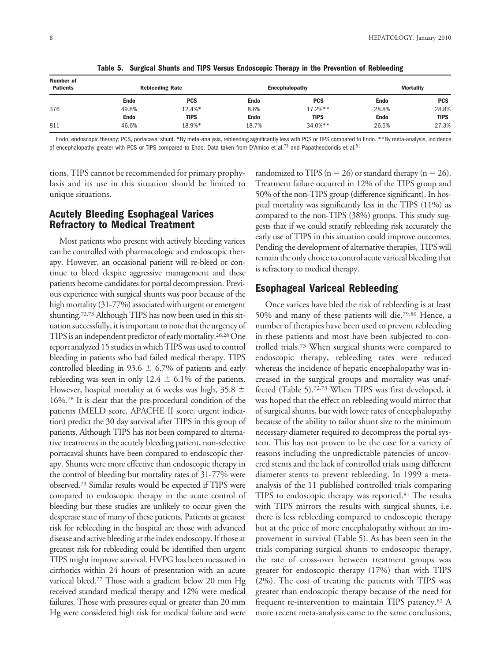| Number of<br><b>Patients</b> | <b>Rebleeding Rate</b> |             | Encephalopathy |             | <b>Mortality</b> |            |
|------------------------------|------------------------|-------------|----------------|-------------|------------------|------------|
|                              | <b>Endo</b>            | <b>PCS</b>  | Endo           | <b>PCS</b>  | <b>Endo</b>      | <b>PCS</b> |
| 376                          | 49.8%                  | 12.4%*      | 8.6%           | $17.2%$ **  | 28.8%            | 28.8%      |
|                              | <b>Endo</b>            | <b>TIPS</b> | Endo           | <b>TIPS</b> | <b>Endo</b>      | TIPS       |
| 811                          | 46.6%                  | 18.9%*      | 18.7%          | $34.0%$ **  | 26.5%            | 27.3%      |

**Table 5. Surgical Shunts and TIPS Versus Endoscopic Therapy in the Prevention of Rebleeding**

Endo, endoscopic therapy; PCS, portacaval shunt. \*By meta-analysis, rebleeding significantly less with PCS or TIPS compared to Endo. \*\*By meta-analysis, incidence of encephalopathy greater with PCS or TIPS compared to Endo. Data taken from D'Amico et al.73 and Papatheodoridis et al.81

tions, TIPS cannot be recommended for primary prophylaxis and its use in this situation should be limited to unique situations.

# **Acutely Bleeding Esophageal Varices Refractory to Medical Treatment**

Most patients who present with actively bleeding varices can be controlled with pharmacologic and endoscopic therapy. However, an occasional patient will re-bleed or continue to bleed despite aggressive management and these patients become candidates for portal decompression. Previous experience with surgical shunts was poor because of the high mortality (31-77%) associated with urgent or emergent shunting.72,73 Although TIPS has now been used in this situation successfully, it is important to note that the urgency of TIPS is an independent predictor of early mortality.<sup>26,28</sup> One report analyzed 15 studies in which TIPS was used to control bleeding in patients who had failed medical therapy. TIPS controlled bleeding in 93.6  $\pm$  6.7% of patients and early rebleeding was seen in only 12.4  $\pm$  6.1% of the patients. However, hospital mortality at 6 weeks was high,  $35.8 \pm$ 16%.78 It is clear that the pre-procedural condition of the patients (MELD score, APACHE II score, urgent indication) predict the 30 day survival after TIPS in this group of patients. Although TIPS has not been compared to alternative treatments in the acutely bleeding patient, non-selective portacaval shunts have been compared to endoscopic therapy. Shunts were more effective than endoscopic therapy in the control of bleeding but mortality rates of 31-77% were observed.73 Similar results would be expected if TIPS were compared to endoscopic therapy in the acute control of bleeding but these studies are unlikely to occur given the desperate state of many of these patients. Patients at greatest risk for rebleeding in the hospital are those with advanced disease and active bleeding at the index endoscopy. If those at greatest risk for rebleeding could be identified then urgent TIPS might improve survival. HVPG has been measured in cirrhotics within 24 hours of presentation with an acute variceal bleed.77 Those with a gradient below 20 mm Hg received standard medical therapy and 12% were medical failures. Those with pressures equal or greater than 20 mm Hg were considered high risk for medical failure and were randomized to TIPS ( $n = 26$ ) or standard therapy ( $n = 26$ ). Treatment failure occurred in 12% of the TIPS group and 50% of the non-TIPS group (difference significant). In hospital mortality was significantly less in the TIPS (11%) as compared to the non-TIPS (38%) groups. This study suggests that if we could stratify rebleeding risk accurately the early use of TIPS in this situation could improve outcomes. Pending the development of alternative therapies, TIPS will remain the only choice to control acute variceal bleeding that is refractory to medical therapy.

# **Esophageal Variceal Rebleeding**

Once varices have bled the risk of rebleeding is at least 50% and many of these patients will die.79,80 Hence, a number of therapies have been used to prevent rebleeding in these patients and most have been subjected to controlled trials.73 When surgical shunts were compared to endoscopic therapy, rebleeding rates were reduced whereas the incidence of hepatic encephalopathy was increased in the surgical groups and mortality was unaffected (Table 5).72,73 When TIPS was first developed, it was hoped that the effect on rebleeding would mirror that of surgical shunts, but with lower rates of encephalopathy because of the ability to tailor shunt size to the minimum necessary diameter required to decompress the portal system. This has not proven to be the case for a variety of reasons including the unpredictable patencies of uncovered stents and the lack of controlled trials using different diameter stents to prevent rebleeding. In 1999 a metaanalysis of the 11 published controlled trials comparing TIPS to endoscopic therapy was reported.81 The results with TIPS mirrors the results with surgical shunts, i.e. there is less rebleeding compared to endoscopic therapy but at the price of more encephalopathy without an improvement in survival (Table 5). As has been seen in the trials comparing surgical shunts to endoscopic therapy, the rate of cross-over between treatment groups was greater for endoscopic therapy (17%) than with TIPS (2%). The cost of treating the patients with TIPS was greater than endoscopic therapy because of the need for frequent re-intervention to maintain TIPS patency.82 A more recent meta-analysis came to the same conclusions,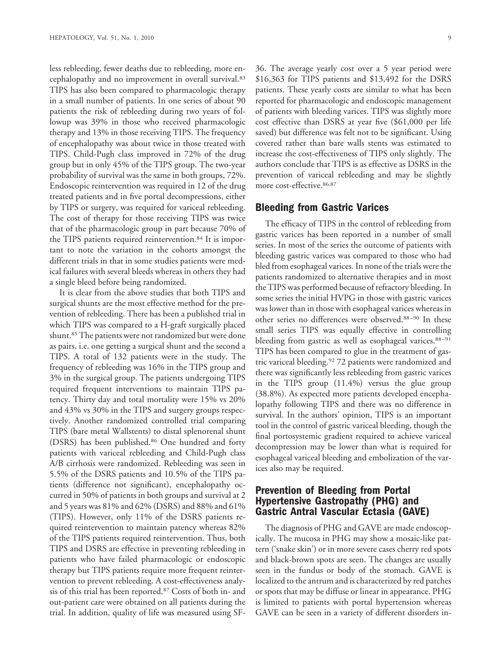less rebleeding, fewer deaths due to rebleeding, more encephalopathy and no improvement in overall survival.83 TIPS has also been compared to pharmacologic therapy in a small number of patients. In one series of about 90 patients the risk of rebleeding during two years of followup was 39% in those who received pharmacologic therapy and 13% in those receiving TIPS. The frequency of encephalopathy was about twice in those treated with TIPS. Child-Pugh class improved in 72% of the drug group but in only 45% of the TIPS group. The two-year probability of survival was the same in both groups, 72%. Endoscopic reintervention was required in 12 of the drug treated patients and in five portal decompressions, either by TIPS or surgery, was required for variceal rebleeding. The cost of therapy for those receiving TIPS was twice that of the pharmacologic group in part because 70% of the TIPS patients required reintervention.<sup>84</sup> It is important to note the variation in the cohorts amongst the different trials in that in some studies patients were medical failures with several bleeds whereas in others they had a single bleed before being randomized.

It is clear from the above studies that both TIPS and surgical shunts are the most effective method for the prevention of rebleeding. There has been a published trial in which TIPS was compared to a H-graft surgically placed shunt.<sup>85</sup> The patients were not randomized but were done as pairs, i.e. one getting a surgical shunt and the second a TIPS. A total of 132 patients were in the study. The frequency of rebleeding was 16% in the TIPS group and 3% in the surgical group. The patients undergoing TIPS required frequent interventions to maintain TIPS patency. Thirty day and total mortality were 15% vs 20% and 43% vs 30% in the TIPS and surgery groups respectively. Another randomized controlled trial comparing TIPS (bare metal Wallstents) to distal splenorenal shunt (DSRS) has been published.<sup>86</sup> One hundred and forty patients with variceal rebleeding and Child-Pugh class A/B cirrhosis were randomized. Rebleeding was seen in 5.5% of the DSRS patients and 10.5% of the TIPS patients (difference not significant), encephalopathy occurred in 50% of patients in both groups and survival at 2 and 5 years was 81% and 62% (DSRS) and 88% and 61% (TIPS). However, only 11% of the DSRS patients required reintervention to maintain patency whereas 82% of the TIPS patients required reintervention. Thus, both TIPS and DSRS are effective in preventing rebleeding in patients who have failed pharmacologic or endoscopic therapy but TIPS patients require more frequent reintervention to prevent rebleeding. A cost-effectiveness analysis of this trial has been reported.87 Costs of both in- and out-patient care were obtained on all patients during the trial. In addition, quality of life was measured using SF-

36. The average yearly cost over a 5 year period were \$16,363 for TIPS patients and \$13,492 for the DSRS patients. These yearly costs are similar to what has been reported for pharmacologic and endoscopic management of patients with bleeding varices. TIPS was slightly more cost effective than DSRS at year five (\$61,000 per life saved) but difference was felt not to be significant. Using covered rather than bare walls stents was estimated to increase the cost-effectiveness of TIPS only slightly. The authors conclude that TIPS is as effective as DSRS in the prevention of variceal rebleeding and may be slightly more cost-effective. 86,87

# **Bleeding from Gastric Varices**

The efficacy of TIPS in the control of rebleeding from gastric varices has been reported in a number of small series. In most of the series the outcome of patients with bleeding gastric varices was compared to those who had bled from esophageal varices. In none of the trials were the patients randomized to alternative therapies and in most the TIPS was performed because of refractory bleeding. In some series the initial HVPG in those with gastric varices was lower than in those with esophageal varices whereas in other series no differences were observed.88–90 In these small series TIPS was equally effective in controlling bleeding from gastric as well as esophageal varices.<sup>88-91</sup> TIPS has been compared to glue in the treatment of gastric variceal bleeding.92 72 patients were randomized and there was significantly less rebleeding from gastric varices in the TIPS group (11.4%) versus the glue group (38.8%). As expected more patients developed encephalopathy following TIPS and there was no difference in survival. In the authors' opinion, TIPS is an important tool in the control of gastric variceal bleeding, though the final portosystemic gradient required to achieve variceal decompression may be lower than what is required for esophageal variceal bleeding and embolization of the varices also may be required.

# **Prevention of Bleeding from Portal Hypertensive Gastropathy (PHG) and Gastric Antral Vascular Ectasia (GAVE)**

The diagnosis of PHG and GAVE are made endoscopically. The mucosa in PHG may show a mosaic-like pattern ('snake skin') or in more severe cases cherry red spots and black-brown spots are seen. The changes are usually seen in the fundus or body of the stomach. GAVE is localized to the antrum and is characterized by red patches or spots that may be diffuse or linear in appearance. PHG is limited to patients with portal hypertension whereas GAVE can be seen in a variety of different disorders in-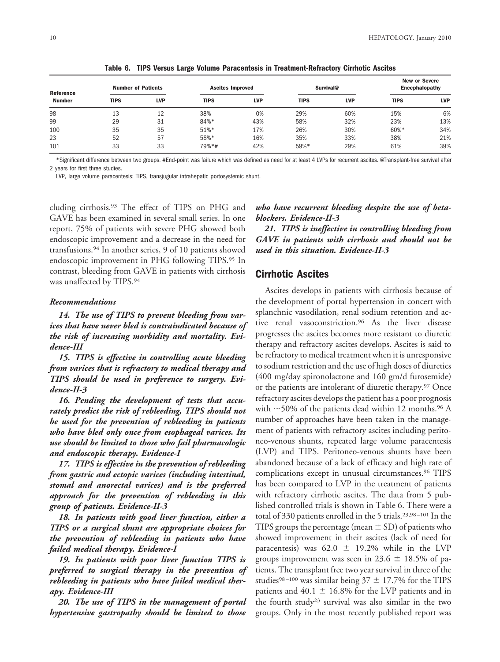| <b>Reference</b><br><b>Number</b> | <b>Number of Patients</b> |            | <b>Ascites Improved</b> |            | Survival@   |            | <b>New or Severe</b><br><b>Encephalopathy</b> |            |
|-----------------------------------|---------------------------|------------|-------------------------|------------|-------------|------------|-----------------------------------------------|------------|
|                                   | <b>TIPS</b>               | <b>LVP</b> | <b>TIPS</b>             | <b>LVP</b> | <b>TIPS</b> | <b>LVP</b> | <b>TIPS</b>                                   | <b>LVP</b> |
| 98                                | 13                        | 12         | 38%                     | 0%         | 29%         | 60%        | 15%                                           | 6%         |
| 99                                | 29                        | 31         | 84%*                    | 43%        | 58%         | 32%        | 23%                                           | 13%        |
| 100                               | 35                        | 35         | 51%*                    | 17%        | 26%         | 30%        | 60%*                                          | 34%        |
| 23                                | 52                        | 57         | 58%*                    | 16%        | 35%         | 33%        | 38%                                           | 21%        |
| 101                               | 33                        | 33         | 79%*#                   | 42%        | 59%*        | 29%        | 61%                                           | 39%        |

**Table 6. TIPS Versus Large Volume Paracentesis in Treatment-Refractory Cirrhotic Ascites**

\*Significant difference between two groups. #End-point was failure which was defined as need for at least 4 LVPs for recurrent ascites. @Transplant-free survival after 2 years for first three studies.

LVP, large volume paracentesis; TIPS, transjugular intrahepatic portosystemic shunt.

cluding cirrhosis.93 The effect of TIPS on PHG and GAVE has been examined in several small series. In one report, 75% of patients with severe PHG showed both endoscopic improvement and a decrease in the need for transfusions.94 In another series, 9 of 10 patients showed endoscopic improvement in PHG following TIPS.95 In contrast, bleeding from GAVE in patients with cirrhosis was unaffected by TIPS.94

#### *Recommendations*

*14. The use of TIPS to prevent bleeding from varices that have never bled is contraindicated because of the risk of increasing morbidity and mortality. Evidence-III*

*15. TIPS is effective in controlling acute bleeding from varices that is refractory to medical therapy and TIPS should be used in preference to surgery. Evidence-II-3*

*16. Pending the development of tests that accurately predict the risk of rebleeding, TIPS should not be used for the prevention of rebleeding in patients who have bled only once from esophageal varices. Its use should be limited to those who fail pharmacologic and endoscopic therapy. Evidence-I*

*17. TIPS is effective in the prevention of rebleeding from gastric and ectopic varices (including intestinal, stomal and anorectal varices) and is the preferred approach for the prevention of rebleeding in this group of patients. Evidence-II-3*

*18. In patients with good liver function, either a TIPS or a surgical shunt are appropriate choices for the prevention of rebleeding in patients who have failed medical therapy. Evidence-I*

*19. In patients with poor liver function TIPS is preferred to surgical therapy in the prevention of rebleeding in patients who have failed medical therapy. Evidence-III*

*20. The use of TIPS in the management of portal hypertensive gastropathy should be limited to those* *who have recurrent bleeding despite the use of betablockers. Evidence-II-3*

*21. TIPS is ineffective in controlling bleeding from GAVE in patients with cirrhosis and should not be used in this situation. Evidence-II-3*

#### **Cirrhotic Ascites**

Ascites develops in patients with cirrhosis because of the development of portal hypertension in concert with splanchnic vasodilation, renal sodium retention and active renal vasoconstriction.96 As the liver disease progresses the ascites becomes more resistant to diuretic therapy and refractory ascites develops. Ascites is said to be refractory to medical treatment when it is unresponsive to sodium restriction and the use of high doses of diuretics (400 mg/day spironolactone and 160 gm/d furosemide) or the patients are intolerant of diuretic therapy.97 Once refractory ascites develops the patient has a poor prognosis with  $\sim$  50% of the patients dead within 12 months.<sup>96</sup> A number of approaches have been taken in the management of patients with refractory ascites including peritoneo-venous shunts, repeated large volume paracentesis (LVP) and TIPS. Peritoneo-venous shunts have been abandoned because of a lack of efficacy and high rate of complications except in unusual circumstances.96 TIPS has been compared to LVP in the treatment of patients with refractory cirrhotic ascites. The data from 5 published controlled trials is shown in Table 6. There were a total of 330 patients enrolled in the 5 trials.23,98–101 In the TIPS groups the percentage (mean  $\pm$  SD) of patients who showed improvement in their ascites (lack of need for paracentesis) was  $62.0 \pm 19.2\%$  while in the LVP groups improvement was seen in 23.6  $\pm$  18.5% of patients. The transplant free two year survival in three of the studies<sup>98–100</sup> was similar being  $37 \pm 17.7\%$  for the TIPS patients and  $40.1 \pm 16.8\%$  for the LVP patients and in the fourth study23 survival was also similar in the two groups. Only in the most recently published report was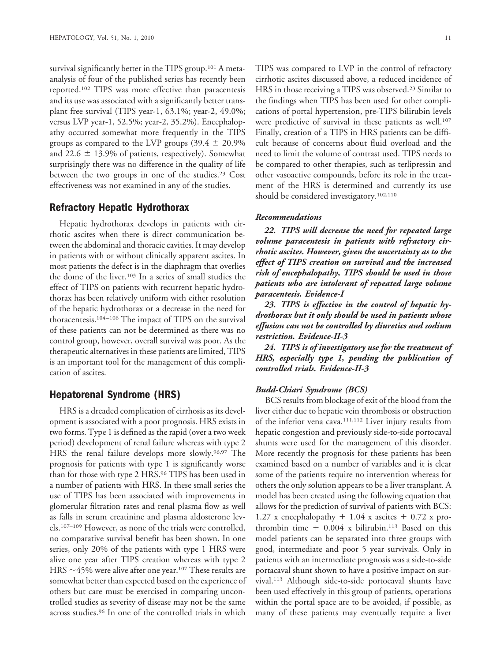survival significantly better in the TIPS group.<sup>101</sup> A metaanalysis of four of the published series has recently been reported.102 TIPS was more effective than paracentesis and its use was associated with a significantly better transplant free survival (TIPS year-1, 63.1%; year-2, 49.0%; versus LVP year-1, 52.5%; year-2, 35.2%). Encephalopathy occurred somewhat more frequently in the TIPS groups as compared to the LVP groups  $(39.4 \pm 20.9\%)$ and 22.6  $\pm$  13.9% of patients, respectively). Somewhat surprisingly there was no difference in the quality of life between the two groups in one of the studies.<sup>23</sup> Cost effectiveness was not examined in any of the studies.

# **Refractory Hepatic Hydrothorax**

Hepatic hydrothorax develops in patients with cirrhotic ascites when there is direct communication between the abdominal and thoracic cavities. It may develop in patients with or without clinically apparent ascites. In most patients the defect is in the diaphragm that overlies the dome of the liver.103 In a series of small studies the effect of TIPS on patients with recurrent hepatic hydrothorax has been relatively uniform with either resolution of the hepatic hydrothorax or a decrease in the need for thoracentesis.104–106 The impact of TIPS on the survival of these patients can not be determined as there was no control group, however, overall survival was poor. As the therapeutic alternatives in these patients are limited, TIPS is an important tool for the management of this complication of ascites.

# **Hepatorenal Syndrome (HRS)**

HRS is a dreaded complication of cirrhosis as its development is associated with a poor prognosis. HRS exists in two forms. Type 1 is defined as the rapid (over a two week period) development of renal failure whereas with type 2 HRS the renal failure develops more slowly.<sup>96,97</sup> The prognosis for patients with type 1 is significantly worse than for those with type 2 HRS.<sup>96</sup> TIPS has been used in a number of patients with HRS. In these small series the use of TIPS has been associated with improvements in glomerular filtration rates and renal plasma flow as well as falls in serum creatinine and plasma aldosterone levels.107–109 However, as none of the trials were controlled, no comparative survival benefit has been shown. In one series, only 20% of the patients with type 1 HRS were alive one year after TIPS creation whereas with type 2 HRS  $\sim$ 45% were alive after one year.<sup>107</sup> These results are somewhat better than expected based on the experience of others but care must be exercised in comparing uncontrolled studies as severity of disease may not be the same across studies.96 In one of the controlled trials in which

TIPS was compared to LVP in the control of refractory cirrhotic ascites discussed above, a reduced incidence of HRS in those receiving a TIPS was observed.23 Similar to the findings when TIPS has been used for other complications of portal hypertension, pre-TIPS bilirubin levels were predictive of survival in these patients as well.<sup>107</sup> Finally, creation of a TIPS in HRS patients can be difficult because of concerns about fluid overload and the need to limit the volume of contrast used. TIPS needs to be compared to other therapies, such as terlipressin and other vasoactive compounds, before its role in the treatment of the HRS is determined and currently its use should be considered investigatory.<sup>102,110</sup>

#### *Recommendations*

*22. TIPS will decrease the need for repeated large volume paracentesis in patients with refractory cirrhotic ascites. However, given the uncertainty as to the effect of TIPS creation on survival and the increased risk of encephalopathy, TIPS should be used in those patients who are intolerant of repeated large volume paracentesis. Evidence-I*

*23. TIPS is effective in the control of hepatic hydrothorax but it only should be used in patients whose effusion can not be controlled by diuretics and sodium restriction. Evidence-II-3*

*24. TIPS is of investigatory use for the treatment of HRS, especially type 1, pending the publication of controlled trials. Evidence-II-3*

#### *Budd-Chiari Syndrome (BCS)*

BCS results from blockage of exit of the blood from the liver either due to hepatic vein thrombosis or obstruction of the inferior vena cava.111,112 Liver injury results from hepatic congestion and previously side-to-side portocaval shunts were used for the management of this disorder. More recently the prognosis for these patients has been examined based on a number of variables and it is clear some of the patients require no intervention whereas for others the only solution appears to be a liver transplant. A model has been created using the following equation that allows for the prediction of survival of patients with BCS: 1.27 x encephalopathy  $+$  1.04 x ascites  $+$  0.72 x prothrombin time  $+$  0.004 x bilirubin.<sup>113</sup> Based on this model patients can be separated into three groups with good, intermediate and poor 5 year survivals. Only in patients with an intermediate prognosis was a side-to-side portacaval shunt shown to have a positive impact on survival.113 Although side-to-side portocaval shunts have been used effectively in this group of patients, operations within the portal space are to be avoided, if possible, as many of these patients may eventually require a liver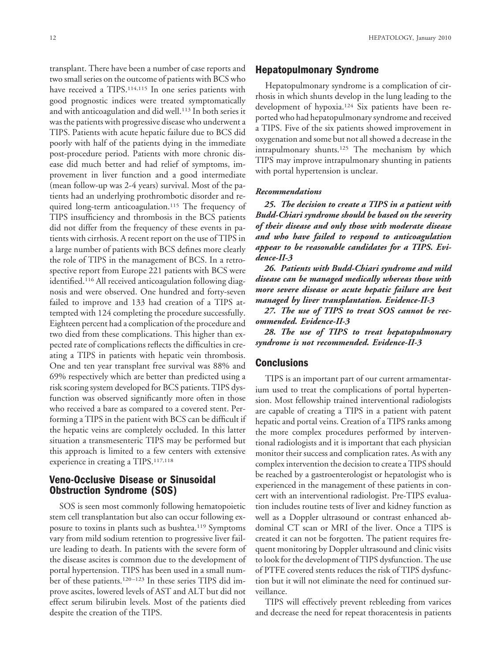transplant. There have been a number of case reports and two small series on the outcome of patients with BCS who have received a TIPS.<sup>114,115</sup> In one series patients with good prognostic indices were treated symptomatically and with anticoagulation and did well.<sup>113</sup> In both series it was the patients with progressive disease who underwent a TIPS. Patients with acute hepatic failure due to BCS did poorly with half of the patients dying in the immediate post-procedure period. Patients with more chronic disease did much better and had relief of symptoms, improvement in liver function and a good intermediate (mean follow-up was 2-4 years) survival. Most of the patients had an underlying prothrombotic disorder and required long-term anticoagulation.<sup>115</sup> The frequency of TIPS insufficiency and thrombosis in the BCS patients did not differ from the frequency of these events in patients with cirrhosis. A recent report on the use of TIPS in a large number of patients with BCS defines more clearly the role of TIPS in the management of BCS. In a retrospective report from Europe 221 patients with BCS were identified.<sup>116</sup> All received anticoagulation following diagnosis and were observed. One hundred and forty-seven failed to improve and 133 had creation of a TIPS attempted with 124 completing the procedure successfully. Eighteen percent had a complication of the procedure and two died from these complications. This higher than expected rate of complications reflects the difficulties in creating a TIPS in patients with hepatic vein thrombosis. One and ten year transplant free survival was 88% and 69% respectively which are better than predicted using a risk scoring system developed for BCS patients. TIPS dysfunction was observed significantly more often in those who received a bare as compared to a covered stent. Performing a TIPS in the patient with BCS can be difficult if the hepatic veins are completely occluded. In this latter situation a transmesenteric TIPS may be performed but this approach is limited to a few centers with extensive experience in creating a TIPS.117,118

# **Veno-Occlusive Disease or Sinusoidal Obstruction Syndrome (SOS)**

SOS is seen most commonly following hematopoietic stem cell transplantation but also can occur following exposure to toxins in plants such as bushtea.119 Symptoms vary from mild sodium retention to progressive liver failure leading to death. In patients with the severe form of the disease ascites is common due to the development of portal hypertension. TIPS has been used in a small number of these patients.120–123 In these series TIPS did improve ascites, lowered levels of AST and ALT but did not effect serum bilirubin levels. Most of the patients died despite the creation of the TIPS.

# **Hepatopulmonary Syndrome**

Hepatopulmonary syndrome is a complication of cirrhosis in which shunts develop in the lung leading to the development of hypoxia.124 Six patients have been reported who had hepatopulmonary syndrome and received a TIPS. Five of the six patients showed improvement in oxygenation and some but not all showed a decrease in the intrapulmonary shunts.<sup>125</sup> The mechanism by which TIPS may improve intrapulmonary shunting in patients with portal hypertension is unclear.

#### *Recommendations*

*25. The decision to create a TIPS in a patient with Budd-Chiari syndrome should be based on the severity of their disease and only those with moderate disease and who have failed to respond to anticoagulation appear to be reasonable candidates for a TIPS. Evidence-II-3*

*26. Patients with Budd-Chiari syndrome and mild disease can be managed medically whereas those with more severe disease or acute hepatic failure are best managed by liver transplantation. Evidence-II-3*

*27. The use of TIPS to treat SOS cannot be recommended. Evidence-II-3*

*28. The use of TIPS to treat hepatopulmonary syndrome is not recommended. Evidence-II-3*

# **Conclusions**

TIPS is an important part of our current armamentarium used to treat the complications of portal hypertension. Most fellowship trained interventional radiologists are capable of creating a TIPS in a patient with patent hepatic and portal veins. Creation of a TIPS ranks among the more complex procedures performed by interventional radiologists and it is important that each physician monitor their success and complication rates. As with any complex intervention the decision to create a TIPS should be reached by a gastroenterologist or hepatologist who is experienced in the management of these patients in concert with an interventional radiologist. Pre-TIPS evaluation includes routine tests of liver and kidney function as well as a Doppler ultrasound or contrast enhanced abdominal CT scan or MRI of the liver. Once a TIPS is created it can not be forgotten. The patient requires frequent monitoring by Doppler ultrasound and clinic visits to look for the development of TIPS dysfunction. The use of PTFE covered stents reduces the risk of TIPS dysfunction but it will not eliminate the need for continued surveillance.

TIPS will effectively prevent rebleeding from varices and decrease the need for repeat thoracentesis in patients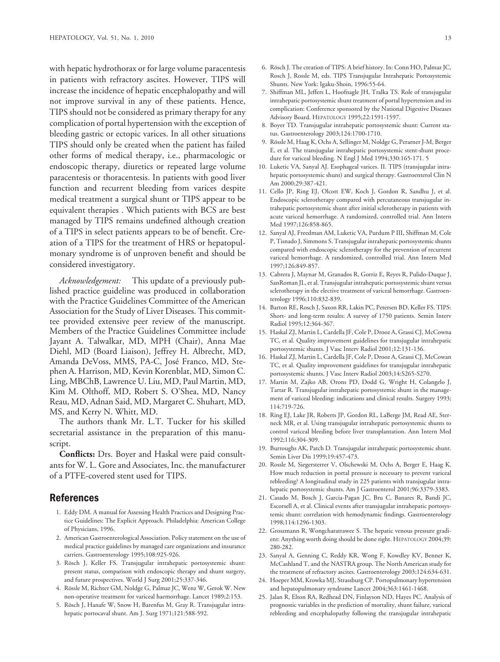with hepatic hydrothorax or for large volume paracentesis in patients with refractory ascites. However, TIPS will increase the incidence of hepatic encephalopathy and will not improve survival in any of these patients. Hence, TIPS should not be considered as primary therapy for any complication of portal hypertension with the exception of bleeding gastric or ectopic varices. In all other situations TIPS should only be created when the patient has failed other forms of medical therapy, i.e., pharmacologic or endoscopic therapy, diuretics or repeated large volume paracentesis or thoracentesis. In patients with good liver function and recurrent bleeding from varices despite medical treatment a surgical shunt or TIPS appear to be equivalent therapies . Which patients with BCS are best managed by TIPS remains undefined although creation of a TIPS in select patients appears to be of benefit. Creation of a TIPS for the treatment of HRS or hepatopulmonary syndrome is of unproven benefit and should be considered investigatory.

*Acknowledgement:* This update of a previously published practice guideline was produced in collaboration with the Practice Guidelines Committee of the American Association for the Study of Liver Diseases. This committee provided extensive peer review of the manuscript. Members of the Practice Guidelines Committee include Jayant A. Talwalkar, MD, MPH (Chair), Anna Mae Diehl, MD (Board Liaison), Jeffrey H. Albrecht, MD, Amanda DeVoss, MMS, PA-C, José Franco, MD, Stephen A. Harrison, MD, Kevin Korenblat, MD, Simon C. Ling, MBChB, Lawrence U. Liu, MD, Paul Martin, MD, Kim M. Olthoff, MD, Robert S. O'Shea, MD, Nancy Reau, MD, Adnan Said, MD, Margaret C. Shuhart, MD, MS, and Kerry N. Whitt, MD.

The authors thank Mr. L.T. Tucker for his skilled secretarial assistance in the preparation of this manuscript.

**Conflicts:** Drs. Boyer and Haskal were paid consultants for W. L. Gore and Associates, Inc. the manufacturer of a PTFE-covered stent used for TIPS.

# **References**

- 1. Eddy DM. A manual for Assessing Health Practices and Designing Practice Guidelines: The Explicit Approach. Philadelphia: American College of Physicians, 1996.
- 2. American Gastroenterological Association. Policy statement on the use of medical practice guidelines by managed care organizations and insurance carriers. Gastroenterology 1995;108:925-926.
- 3. Rösch J, Keller FS. Transjugular intrahepatic portosystemic shunt: present status, comparison with endoscopic therapy and shunt surgery, and future prospectives. World J Surg 2001;25:337-346.
- 4. Rössle M, Richter GM, Noldge G, Palmaz JC, Wenz W, Gerok W. New non-operative treatment for variceal haemorrhage. Lancet 1989;2:153.
- 5. Rösch J, Hanafe W, Snow H, Barenfus M, Gray R. Transjugular intrahepatic portocaval shunt. Am J. Surg 1971;121:588-592.
- 6. Rösch J. The creation of TIPS: A brief history. In: Conn HO, Palmaz JC, Rosch J, Rossle M, eds. TIPS Transjugular Intrahepatic Portosystemic Shunts. New York: Igaku-Shoin, 1996:55-64.
- 7. Shiffman ML, Jeffers L, Hoofnagle JH, Tralka TS. Role of transjugular intrahepatic portosystemic shunt treatment of portal hypertension and its complication: Conference sponsored by the National Digestive Diseases Advisory Board. HEPATOLOGY 1995;22:1591-1597.
- 8. Boyer TD. Transjugular intrahepatic portosystemic shunt: Current status. Gastroenterology 2003;124:1700-1710.
- 9. Rössle M, Haag K, Ochs A, Sellinger M, Noldge G, Perarner J-M, Berger E, et al. The transjugular intrahepatic portosystemic stent-shunt procedure for variceal bleeding. N Engl J Med 1994;330:165-171. 5
- 10. Luketic VA, Sanyal AJ. Esophageal varices. II. TIPS (transjugular intrahepatic portosystemic shunt) and surgical therapy. Gastroenterol Clin N Am 2000;29:387-421.
- 11. Cello JP, Ring EJ, Olcott EW, Koch J, Gordon R, Sandhu J, et al. Endoscopic sclerotherapy compared with percutaneous transjugular intrahepatic portosystemic shunt after initial sclerotherapy in patients with acute variceal hemorrhage. A randomized, controlled trial. Ann Intern Med 1997;126:858-865.
- 12. Sanyal AJ, Freedman AM, Luketic VA, Purdum P III, Shiffman M, Cole P, Tisnado J, Simmons S. Transjugular intrahepatic portosystemic shunts compared with endoscopic sclerotherapy for the prevention of recurrent variceal hemorrhage. A randomized, controlled trial. Ann Intern Med 1997;126:849-857.
- 13. Cabrera J, Maynar M, Granados R, Gorriz E, Reyes R, Pulido-Duque J, SanRoman JL, et al. Transjugular intrahepatic portosystemic shunt versus sclerotherapy in the elective treatment of variceal hemorrhage. Gastroenterology 1996;110:832-839.
- 14. Barton RE, Rosch J, Saxon RR, Lakin PC, Petersen BD, Keller FS. TIPS: Short- and long-term results: A survey of 1750 patients. Semin Interv Radiol 1995;12:364-367.
- 15. Haskal ZJ, Martin L, Cardella JF, Cole P, Drooz A, Grassi CJ, McCowna TC, et al. Quality improvement guidelines for transjugular intrahepatic portosystemic shunts. J Vasc Interv Radiol 2001;12:131-136.
- 16. Haskal ZJ, Martin L, Cardella JF, Cole P, Drooz A, Grassi CJ, McCowan TC, et al. Quality improvement guidelines for transjugular intrahepatic portosystemic shunts. J Vasc Interv Radiol 2003;14:S265-S270.
- 17. Martin M, Zajko AB, Orons PD, Dodd G, Wright H, Colangelo J, Tartar R. Transjugular intrahepatic portosystemic shunt in the management of variceal bleeding: indications and clinical results. Surgery 1993; 114:719-726.
- 18. Ring EJ, Lake JR, Roberts JP, Gordon RL, LaBerge JM, Read AE, Sterneck MR, et al. Using transjugular intrahepatic portosystemic shunts to control variceal bleeding before liver transplantation. Ann Intern Med 1992;116:304-309.
- 19. Burroughs AK, Patch D. Transjugular intrahepatic portosystemic shunt. Semin Liver Dis 1999;19:457-473.
- 20. Rossle M, Siegersterrer V, Olschewski M, Ochs A, Berger E, Haag K. How much reduction in portal pressure is necessary to prevent variceal rebleeding? A longitudinal study in 225 patients with transjugular intrahepatic portosystemic shunts. Am J Gastroenterol 2001;96:3379-3383.
- 21. Casado M, Bosch J, Garcia-Pagan JC, Bru C, Banares R, Bandi JC, Escorsell A, et al. Clinical events after transjugular intrahepatic portosystemic shunt: correlation with hemodynamic findings. Gastroenterology 1998;114:1296-1303.
- 22. Groszmann R, Wongcharatrawee S. The hepatic venous pressure gradient: Anything worth doing should be done right. HEPATOLOGY 2004;39: 280-282.
- 23. Sanyal A, Genning C, Reddy KR, Wong F, Kowdley KV, Benner K, McCashland T, and the NASTRA group. The North American study for the treatment of refractory ascites. Gastroenterology 2003;124:634-631.
- 24. Hoeper MM, Krowka MJ, Strassburg CP. Portopulmonary hypertension and hepatopulmonary syndrome Lancet 2004;363:1461-1468.
- 25. Jalan R, Elton RA, Redhead DN, Finlayson ND, Hayes PC. Analysis of prognostic variables in the prediction of mortality, shunt failure, variceal rebleeding and encephalopathy following the transjugular intrahepatic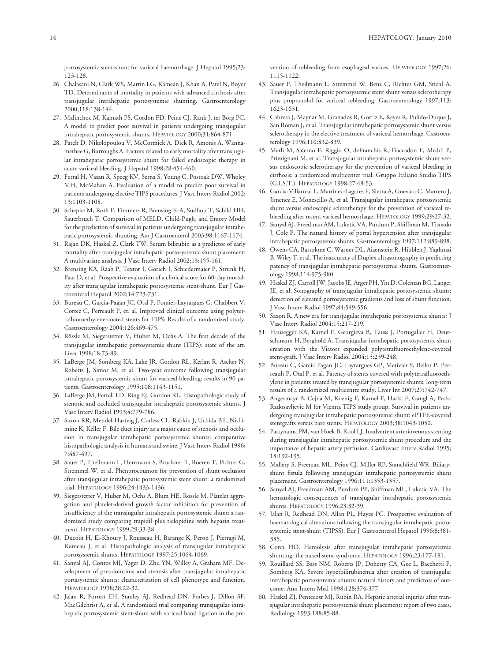portosystemic stent-shunt for variceal haemorrhage. J Hepatol 1995;23: 123-128.

- 26. Chalasani N, Clark WS, Martin LG, Kamean J, Khan A, Patel N, Boyer TD. Determinants of mortality in patients with advanced cirrhosis after transjugular intrahepatic portosystemic shunting. Gastroenterology 2000;118:138-144.
- 27. Malinchoc M, Kamath PS, Gordon FD, Peine CJ, Rank J, ter Borg PC. A model to predict poor survival in patients undergoing transjugular intrahepatic portosystemic shunts. HEPATOLOGY 2000;31:864-871.
- 28. Patch D, Nikolopoulou V, McCormick A, Dick R, Amonis A, Wannamethee G, Burroughs A. Factors related to early mortality after transjugular intrahepatic portosystemic shunt for failed endoscopic therapy in acute variceal bleeding. J Hepatol 1998;28:454-460.
- 29. Ferral H, Vasan R, Speeg KV, Serna S, Young C, Postoak DW, Wholey MH, McMahan A. Evaluation of a model to predict poor survival in patients undergoing elective TIPS procedures. J Vasc Interv Radiol 2002; 13:1103-1108.
- 30. Schepke M, Roth F, Fimmers R, Brensing K-A, Sudhop T, Schild HH, Sauerbruch T. Comparison of MELD, Child-Pugh, and Emory Model for the prediction of survival in patients undergoing transjugular intrahepatic portosystemic shunting. Am J Gastroenterol 2003;98:1167-1174.
- 31. Rajan DK, Haskal Z, Clark TW. Serum bilirubin as a predictor of early mortality after transjugular intrahepatic portosystemic shunt placement: A multivariate analysis. J Vasc Interv Radiol 2002;13:155-161.
- 32. Brensing KA, Raab P, Textor J, Gorich J, Schiedermaier P, Strunk H, Paar D, et al. Prospective evaluation of a clinical score for 60-day mortality after transjugular intrahepatic portosystemic stent-shunt. Eur J Gastroenterol Hepatol 2002;14:723-731.
- 33. Bureau C, Garcia-Pagan JC, Otal P, Pomier-Layrargues G, Chabbert V, Cortez C, Perreault P, et. al. Improved clinical outcome using polytetrafluoroethylene-coated stents for TIPS: Results of a randomized study. Gastroenterology 2004;126:469-475.
- 34. Rössle M, Siegerstetter V, Huber M, Ochs A. The first decade of the transjugular intrahepatic portosystemic shunt (TIPS): state of the art. Liver 1998;18:73-89.
- 35. LaBerge JM, Somberg KA, Lake JR, Gordon RL, Kerlan R, Ascher N, Roberts J, Simor M, et al. Two-year outcome following transjugular intrahepatic portosystemic shunt for variceal bleeding: results in 90 patients. Gastroenterology 1995;108:1143-1151.
- 36. LaBerge JM, Ferrell LD, Ring EJ, Gordon RL. Histopathologic study of stenotic and occluded transjugular intrahepatic portosystemic shunts. J Vasc Interv Radiol 1993;4:779-786.
- 37. Saxon RR, Mendel-Hartvig J, Corless CL, Rabkin J, Uchida BT, Nishimine K, Keller F. Bile duct injury as a major cause of stenosis and occlusion in transjugular intrahepatic portosystemic shunts: comparative histopathologic analysis in humans and swine. J Vasc Interv Radiol 1996; 7:487-497.
- 38. Sauer P, Theilmann L, Herrmann S, Bruckner T, Roeren T, Pichter G, Stremmel W, et al. Phenprocoumon for prevention of shunt occlusion after transjugular intrahepatic portosystemic stent shunt: a randomized trial. HEPATOLOGY 1996;24:1433-1436.
- 39. Siegerstetter V, Huber M, Ochs A, Blum HE, Rossle M. Platelet aggregation and platelet-derived growth factor inhibition for prevention of insufficiency of the transjugular intrahepatic portosystemic shunt: a randomized study comparing trapidil plus ticlopidine with heparin treatment. HEPATOLOGY 1999;29:33-38.
- 40. Ducoin H, El-Khoury J, Rousseau H, Barange K, Peron J, Pierragi M, Rumeau J, et al. Histopathologic analysis of transjugular intrahepatic portosystemic shunts. HEPATOLOGY 1997;25:1064-1069.
- 41. Sanyal AJ, Contos MJ, Yager D, Zhu YN, Willey A, Graham MF. Development of pseudointima and stenosis after transjugular intrahepatic portasystemic shunts: characterization of cell phenotype and function. HEPATOLOGY 1998;28:22-32.
- 42. Jalan R, Forrest EH, Stanley AJ, Redhead DN, Forbes J, Dillon SF, MacGilchrist A, et al. A randomized trial comparing transjugular intrahepatic portosystemic stent-shunt with variceal band ligation in the pre-

vention of rebleeding from esophageal varices. HEPATOLOGY 1997;26: 1115-1122.

- 43. Sauer P, Theilmann L, Stremmel W, Benz C, Richter GM, Stiehl A. Transjugular intrahepatic portosystemic stent shunt versus sclerotherapy plus propranolol for variceal rebleeding. Gastroenterology 1997;113: 1623-1631.
- 44. Cabrera J, Maynar M, Granados R, Gorriz E, Reyes R, Pulido-Duque J, San Roman J, et al. Transjugular intrahepatic portosystemic shunt versus sclerotherapy in the elective treatment of variceal hemorrhage. Gastroenterology 1996;110:832-839.
- 45. Merli M, Salerno F, Riggio O, deFranchis R, Fiaccadon F, Meddi P, Primignani M, et al. Transjugular intrahepatic portosystemic shunt versus endoscopic sclerotherapy for the prevention of variceal bleeding in cirrhosis: a randomized multicenter trial. Gruppo Italiano Studio TIPS (G.I.S.T.). HEPATOLOGY 1998;27:48-53.
- 46. Garcia-Villarreal L, Martinez-Lagares F, Sierra A, Guevara C, Marrero J, Jimenez E, Monescillo A, et al. Transjugular intrahepatic portosystemic shunt versus endoscopic sclerotherapy for the prevention of variceal rebleeding after recent variceal hemorrhage. HEPATOLOGY 1999;29:27-32.
- 47. Sanyal AJ, Freedman AM, Luketic VA, Purdum P, Shiffman M, Tisnado J, Cole P. The natural history of portal hypertension after transjugular intrahepatic portosystemic shunts. Gastroenterology 1997;112:889-898.
- 48. Owens CA, Bartolone C, Warner DL, Aizenstein R, Hibblen J, Yaghmai B, Wiley T, et al. The inaccuracy of Duplex ultrasonography in predicting patency of transjugular intrahepatic portosystemic shunts. Gastroenterology 1998;114:975-980.
- 49. Haskal ZJ, Carroll JW, Jacobs JE, Arger PH, Yin D, Coleman BG, Langer JE, et al. Sonography of transjugular intrahepatic portosystemic shunts: detection of elevated portosystemic gradients and loss of shunt function. J Vasc Interv Radiol 1997;84:549-556.
- 50. Saxon R. A new era for transjugular intrahepatic portosystemic shunts? J Vasc Interv Radiol 2004;15:217-219.
- 51. Hausegger KA, Karnel F, Georgieva B, Tauss J, Portugaller H, Deutschmann H, Berghold A. Transjugular intrahepatic portosystemic shunt creation with the Viatorr expanded polytetrafluoroethylene-covered stent-graft. J Vasc Interv Radiol 2004;15:239-248.
- 52. Bureau C, Garcia Pagan JC, Layrargues GP, Metivier S, Bellot P, Perreault P, Otal P, et al. Patency of stents covered with polytetrafluoroethylene in patients treated by transjugular portosystemic shunts: long-term results of a randomized multicentre study. Liver Int 2007;27:742-747.
- 53. Angermayr B, Cejna M, Koenig F, Karnel F, Hackl F, Gangl A, Peck-Radosavljevic M for Vienna TIPS study group. Survival in patients undergoing transjugular intrahepatic portosystemic shunt: ePTFE-covered stentgrafts versus bare stents. HEPATOLOGY 2003;38:1043-1050.
- 54. Pattynama PM, van Hoek B, Kool LJ. Inadvertent arteriovenous stenting during transjugular intrahepatic portosystemic shunt procedure and the importance of hepatic artery perfusion. Cardiovasc Interv Radiol 1995; 18:192-195.
- 55. Mallery S, Freeman ML, Peine CJ, Miller RP, Stanchfield WR. Biliaryshunt fistula following transjugular intrahepatic portosystemic shunt placement. Gastroenterology 1996;111:1353-1357.
- 56. Sanyal AJ, Freedman AM, Purdum PP, Shiffman ML, Luketic VA. The hematologic consequences of transjugular intrahepatic portosystemic shunts. HEPATOLOGY 1996;23:32-39.
- 57. Jalan R, Redhead DN, Allan PL, Hayes PC. Prospective evaluation of haematological alterations following the transjugular intrahepatic portosystemic stent-shunt (TIPSS). Eur J Gastroenterol Hepatol 1996;8:381- 385.
- 58. Conn HO. Hemolysis after transjugular intrahepatic portosystemic shunting: the naked stent syndrome. HEPATOLOGY 1996;23:177-181.
- 59. Rouillard SS, Bass NM, Roberts JP, Doherty CA, Gee L, Bacchetti P, Somberg KA. Severe hyperbilirubinemia after creation of transjugular intrahepatic portosystemic shunts: natural history and predictors of outcome. Ann Intern Med 1998;128:374-377.
- 60. Haskal ZJ, Pentecost MJ, Rubin RA. Hepatic arterial injuries after transjugular intrahepatic portosystemic shunt placement: report of two cases. Radiology 1993;188:85-88.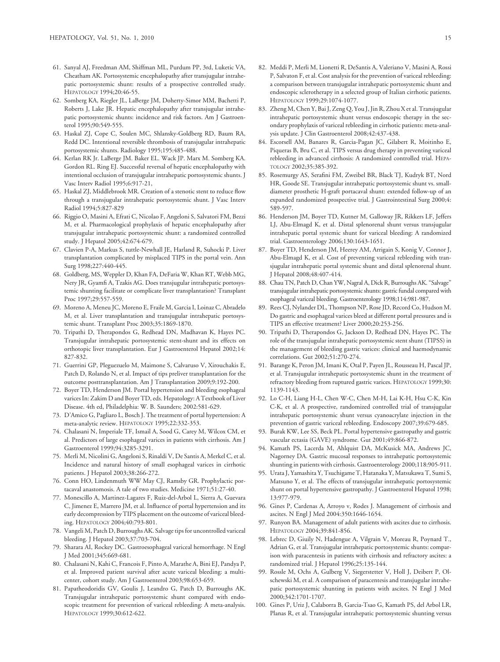- 61. Sanyal AJ, Freedman AM, Shiffman ML, Purdum PP, 3rd, Luketic VA, Cheatham AK. Portosystemic encephalopathy after transjugular intrahepatic portosystemic shunt: results of a prospective controlled study. HEPATOLOGY 1994;20:46-55.
- 62. Somberg KA, Riegler JL, LaBerge JM, Doherty-Simor MM, Bachetti P, Roberts J, Lake JR. Hepatic encephalopathy after transjugular intrahepatic portosystemic shunts: incidence and risk factors. Am J Gastroenterol 1995;90:549-555.
- 63. Haskal ZJ, Cope C, Soulen MC, Shlansky-Goldberg RD, Baum RA, Redd DC. Intentional reversible thrombosis of transjugular intrahepatic portosystemic shunts. Radiology 1995;195:485-488.
- 64. Kerlan RK Jr. LaBerge JM. Baker EL. Wack JP. Marx M. Somberg KA. Gordon RL. Ring EJ. Successful reversal of hepatic encephalopathy with intentional occlusion of transjugular intrahepatic portosystemic shunts. J Vasc Interv Radiol 1995;6:917-21,
- 65. Haskal ZJ, Middlebrook MR. Creation of a stenotic stent to reduce flow through a transjugular intrahepatic portosystemic shunt. J Vasc Interv Radiol 1994;5:827-829
- 66. Riggio O, Masini A, Efrati C, Nicolao F, Angeloni S, Salvatori FM, Bezzi M, et al. Pharmacological prophylaxis of hepatic encephalopathy after transjugular intrahepatic portosystemic shunt: a randomized controlled study. J Hepatol 2005;42:674-679.
- 67. Clavien P-A, Markus S, tuttle-Newhall JE, Harland R, Suhocki P. Liver transplantation complicated by misplaced TIPS in the portal vein. Ann Surg 1998;227:440-445.
- 68. Goldberg, MS, Weppler D, Khan FA, DeFaria W, Khan RT, Webb MG, Nery JR, Gyamfi A, Tzakis AG. Does transjugular intrahepatic portosystemic shunting facilitate or complicate liver transplantation? Transplant Proc 1997;29:557-559.
- 69. Moreno A, Meneu JC, Moreno E, Fraile M, Garcia I, Loinaz C, Abradelo M, et al. Liver transplantation and transjugular intrahepatic portosystemic shunt. Transplant Proc 2003;35:1869-1870.
- 70. Tripathi D, Therapondos G, Redhead DN, Madhavan K, Hayes PC. Transjugular intrahepatic portosystemic stent-shunt and its effects on orthotopic liver transplantation. Eur J Gastroenterol Hepatol 2002;14: 827-832.
- 71. Guerrini GP, Pleguezuelo M, Maimone S, Calvaruso V, Xirouchakis E, Patch D, Rolando N, et al. Impact of tips preliver transplantation for the outcome posttransplantation. Am J Transplantation 2009;9:192-200.
- 72. Boyer TD, Henderson JM. Portal hypertension and bleeding esophageal varices In: Zakim D and Boyer TD, eds. Hepatology: A Textbook of Liver Disease. 4th ed, Philadelphia: W. B. Saunders; 2002:581-629.
- 73. D'Amico G, Pagliaro L, Bosch J. The treatment of portal hypertension: A meta-analytic review. HEPATOLOGY 1995;22:332-353.
- 74. Chalasani N, Imperiale TF, Ismail A, Sood G, Carey M, Wilcox CM, et al. Predictors of large esophageal varices in patients with cirrhosis. Am J Gastroenterol 1999;94:3285-3291.
- 75. Merli M, Nicolini G, Angeloni S, Rinaldi V, De Santis A, Merkel C, et al. Incidence and natural history of small esophageal varices in cirrhotic patients. J Hepatol 2003;38:266-272.
- 76. Conn HO, Lindenmuth WW May CJ, Ramsby GR. Prophylactic portacaval anastomosis. A tale of two studies. Medicine 1971;51:27-40.
- 77. Monescillo A, Martinez-Lagares F, Ruiz-del-Arbol L, Sierra A, Guevara C, Jimenez E, Marrero JM, et al. Influence of portal hypertension and its early decompression by TIPS placement on the outcome of variceal bleeding. HEPATOLOGY 2004;40:793-801.
- 78. Vangeli M, Patch D, Burroughs AK. Salvage tips for uncontrolled variceal bleeding. J Hepatol 2003;37:703-704.
- 79. Sharara AI, Rockey DC. Gastroesophageal variceal hemorrhage. N Engl J Med 2001;345:669-681.
- 80. Chalasani N, Kahi C, Francois F, Pinto A, Marathe A, Bini EJ, Pandya P, et al. Improved patient survival after acute variceal bleeding: a multicenter, cohort study. Am J Gastroenterol 2003;98:653-659.
- 81. Papatheodoridis GV, Goulis J, Leandro G, Patch D, Burroughs AK. Transjugular intrahepatic portosystemic shunt compared with endoscopic treatment for prevention of variceal rebleeding: A meta-analysis. HEPATOLOGY 1999;30:612-622.
- 82. Meddi P, Merli M, Lionetti R, DeSantis A, Valeriano V, Masini A, Rossi P, Salvaton F, et al. Cost analysis for the prevention of variceal rebleeding: a comparison between transjugular intrahepatic portosystemic shunt and endoscopic sclerotherapy in a selected group of Italian cirrhotic patients. HEPATOLOGY 1999;29:1074-1077.
- 83. Zheng M, Chen Y, Bai J, Zeng Q, You J, Jin R, Zhou X et al. Transjugular intrahepatic portosystemic shunt versus endoscopic therapy in the secondary prophylaxis of variceal rebleeding in cirrhotic patients: meta-analysis update. J Clin Gastroenterol 2008;42:437-438.
- 84. Escorsell AM, Banares R, Garcia-Pagan JC, Gilabert R, Moitinho E, Piqueras B, Bru C, et al. TIPS versus drug therapy in preventing variceal rebleeding in advanced cirrhosis: A randomized controlled trial. HEPA-TOLOGY 2002;35:385-392.
- 85. Rosemurgy AS, Serafini FM, Zweibel BR, Black TJ, Kudryk BT, Nord HR, Goode SE. Transjugular intrahepatic portosystemic shunt vs. smalldiameter prosthetic H-graft portacaval shunt: extended follow-up of an expanded randomized prospective trial. J Gastrointestinal Surg 2000;4: 589-597.
- 86. Henderson JM, Boyer TD, Kutner M, Galloway JR, Rikkers LF, Jeffers LJ, Abu-Elmagd K, et al. Distal splenorenal shunt versus transjugular intrahepatic portal systemic shunt for variceal bleeding: A randomized trial. Gastroenterology 2006;130:1643-1651.
- 87. Boyer TD, Henderson JM, Heerey AM, Arrigain S, Konig V, Connor J, Abu-Elmagd K, et al. Cost of preventing variceal rebleeding with transjugular intrahepatic portal systemic shunt and distal splenorenal shunt. J Hepatol 2008;48:407-414.
- 88. Chau TN, Patch D, Chan YW, Nagral A, Dick R, Burroughs AK. "Salvage" transjugular intrahepatic portosystemic shunts: gastric fundal compared with esophageal variceal bleeding. Gastroenterology 1998;114:981-987.
- 89. Rees CJ, Nylander DL, Thompson NP, Rose JD, Record Co, Hudson M. Do gastric and esophageal varices bleed at different portal pressures and is TIPS an effective treatment? Liver 2000;20:253-256.
- 90. Tripathi D, Therapondos G, Jackson D, Redhead DN, Hayes PC. The role of the transjugular intrahepatic portosystemic stent shunt (TIPSS) in the management of bleeding gastric varices: clinical and haemodynamic correlations. Gut 2002;51:270-274.
- 91. Barange K, Peron JM, Imani K, Otal P, Payen JL, Rousseau H, Pascal JP, et al. Transjugular intrahepatic portosystemic shunt in the treatment of refractory bleeding from ruptured gastric varices. HEPATOLOGY 1999;30: 1139-1143.
- 92. Lo C-H, Liang H-L, Chen W-C, Chen M-H, Lai K-H, Hsu C-K, Kin C-K, et al. A prospective, randomized controlled trial of transjugular intrahepatic portosystemic shunt versus cyanoacrylate injection in the prevention of gastric variceal rebleeding. Endoscopy 2007;39:679-685.
- 93. Burak KW, Lee SS, Beck PL. Portal hypertensive gastropathy and gastric vascular ectasia (GAVE) syndrome. Gut 2001;49:866-872.
- 94. Kamath PS, Lacerda M, Ahlquist DA, McKusick MA, Andrews JC, Nagorney DA. Gastric mucosal responses to intrahepatic portosystemic shunting in patients with cirrhosis. Gastroenterology 2000;118:905-911.
- 95. Urata J, Yamashita Y, Tsuchigame T, Hatanaka Y, Matsukawa T, Sumi S, Matsuno Y, et al. The effects of transjugular intrahepatic portosystemic shunt on portal hypertensive gastropathy. J Gastroenterol Hepatol 1998; 13:977-979.
- 96. Gines P, Cardenas A, Arroyo v, Rodes J. Management of cirrhosis and ascites. N Engl J Med 2004:350:1646-1654.
- 97. Runyon BA. Management of adult patients with ascites due to cirrhosis. HEPATOLOGY 2004;39:841-856.
- 98. Lebrec D, Giuily N, Hadengue A, Vilgrain V, Moreau R, Poynard T., Adrian G, et al. Transjugular intrahepatic portosystemic shunts: comparison with paracentesis in patients with cirrhosis and refractory ascites: a randomized trial. J Hepatol 1996;25:135-144.
- 99. Rossle M, Ochs A, Gulberg V, Siegerstetter V, Holl J, Deibert P, Olschewski M, et al. A comparison of paracentesis and transjugular intrahepatic portosystemic shunting in patients with ascites. N Engl J Med 2000;342:1701-1707.
- 100. Gines P, Uriz J, Calaborra B, Garcia-Tsao G, Kamath PS, del Arbol LR, Planas R, et al. Transjugular intrahepatic portosystemic shunting versus